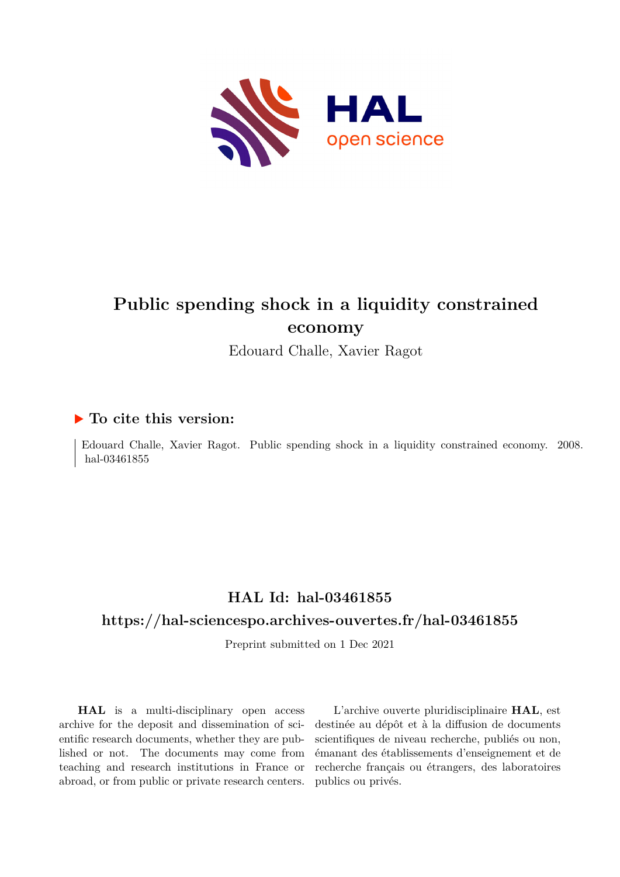

## **Public spending shock in a liquidity constrained economy**

Edouard Challe, Xavier Ragot

#### **To cite this version:**

Edouard Challe, Xavier Ragot. Public spending shock in a liquidity constrained economy. 2008. hal-03461855

## **HAL Id: hal-03461855**

#### **<https://hal-sciencespo.archives-ouvertes.fr/hal-03461855>**

Preprint submitted on 1 Dec 2021

**HAL** is a multi-disciplinary open access archive for the deposit and dissemination of scientific research documents, whether they are published or not. The documents may come from teaching and research institutions in France or abroad, or from public or private research centers.

L'archive ouverte pluridisciplinaire **HAL**, est destinée au dépôt et à la diffusion de documents scientifiques de niveau recherche, publiés ou non, émanant des établissements d'enseignement et de recherche français ou étrangers, des laboratoires publics ou privés.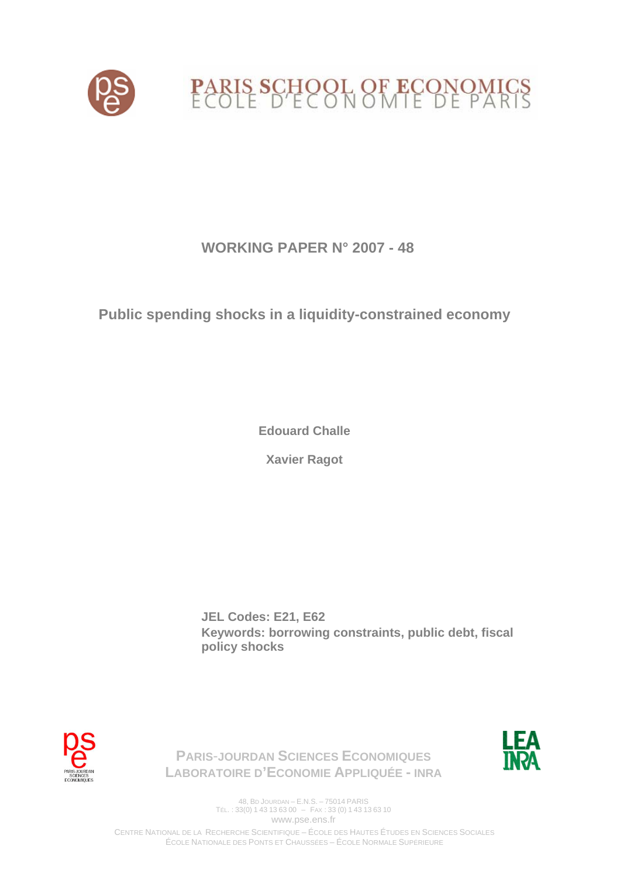

## **WORKING PAPER N° 2007 - 48**

## **Public spending shocks in a liquidity-constrained economy**

**Edouard Challe** 

**Xavier Ragot** 

**JEL Codes: E21, E62 Keywords: borrowing constraints, public debt, fiscal policy shocks** 





**PARIS**-**JOURDAN SCIENCES ECONOMIQUES LABORATOIRE D'ECONOMIE APPLIQUÉE - INRA**

> 48, BD JOURDAN – E.N.S. – 75014 PARIS TÉL. : 33(0) 1 43 13 63 00 – FAX : 33 (0) 1 43 13 63 10 www.pse.ens.fr

CENTRE NATIONAL DE LA RECHERCHE SCIENTIFIQUE – ÉCOLE DES HAUTES ÉTUDES EN SCIENCES SOCIALES ÉCOLE NATIONALE DES PONTS ET CHAUSSÉES – ÉCOLE NORMALE SUPÉRIEURE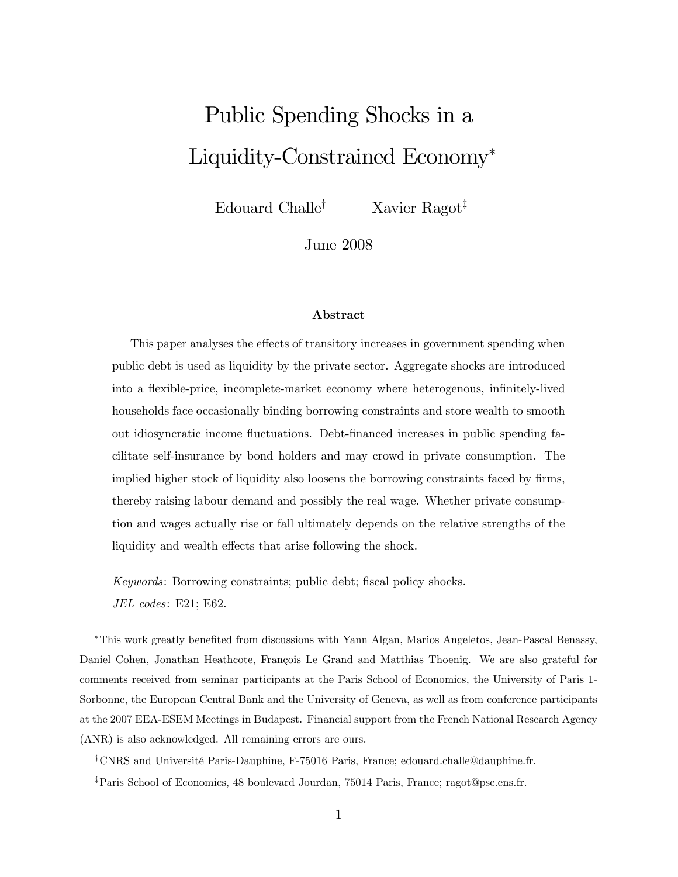# Public Spending Shocks in a Liquidity-Constrained Economy

Edouard Challe<sup>†</sup> Xavier Ragot<sup>‡</sup>

June 2008

#### Abstract

This paper analyses the effects of transitory increases in government spending when public debt is used as liquidity by the private sector. Aggregate shocks are introduced into a flexible-price, incomplete-market economy where heterogenous, infinitely-lived households face occasionally binding borrowing constraints and store wealth to smooth out idiosyncratic income áuctuations. Debt-Önanced increases in public spending facilitate self-insurance by bond holders and may crowd in private consumption. The implied higher stock of liquidity also loosens the borrowing constraints faced by firms, thereby raising labour demand and possibly the real wage. Whether private consumption and wages actually rise or fall ultimately depends on the relative strengths of the liquidity and wealth effects that arise following the shock.

Keywords: Borrowing constraints; public debt; fiscal policy shocks. JEL codes: E21; E62.

\*This work greatly benefited from discussions with Yann Algan, Marios Angeletos, Jean-Pascal Benassy, Daniel Cohen, Jonathan Heathcote, François Le Grand and Matthias Thoenig. We are also grateful for comments received from seminar participants at the Paris School of Economics, the University of Paris 1- Sorbonne, the European Central Bank and the University of Geneva, as well as from conference participants at the 2007 EEA-ESEM Meetings in Budapest. Financial support from the French National Research Agency (ANR) is also acknowledged. All remaining errors are ours.

<sup>†</sup>CNRS and Université Paris-Dauphine, F-75016 Paris, France; edouard.challe@dauphine.fr. <sup>‡</sup>Paris School of Economics, 48 boulevard Jourdan, 75014 Paris, France; ragot@pse.ens.fr.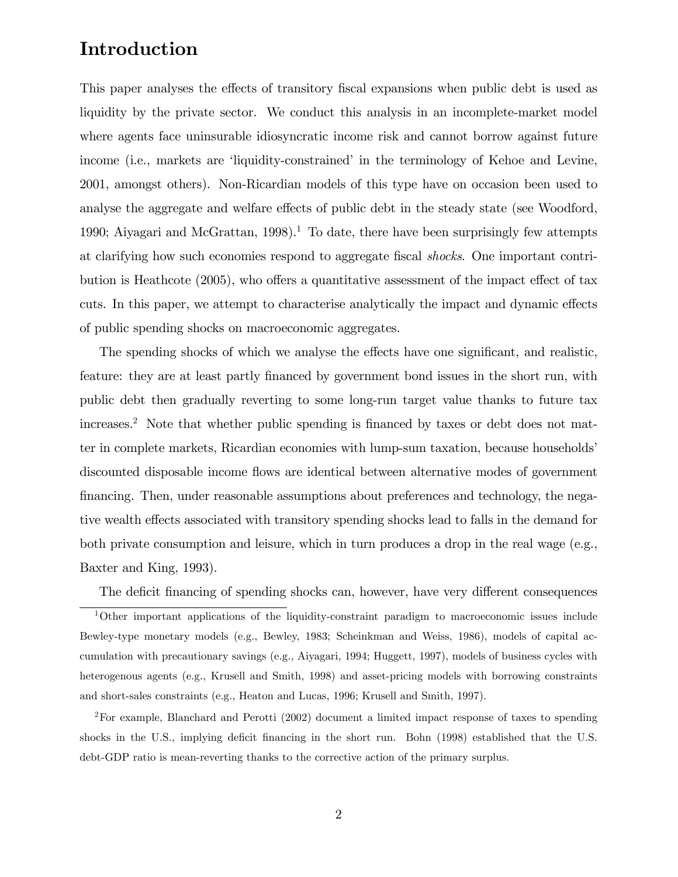## Introduction

This paper analyses the effects of transitory fiscal expansions when public debt is used as liquidity by the private sector. We conduct this analysis in an incomplete-market model where agents face uninsurable idiosyncratic income risk and cannot borrow against future income (i.e., markets are 'liquidity-constrained' in the terminology of Kehoe and Levine, 2001, amongst others). Non-Ricardian models of this type have on occasion been used to analyse the aggregate and welfare effects of public debt in the steady state (see Woodford, 1990; Aiyagari and McGrattan, 1998).<sup>1</sup> To date, there have been surprisingly few attempts at clarifying how such economies respond to aggregate fiscal *shocks*. One important contribution is Heathcote  $(2005)$ , who offers a quantitative assessment of the impact effect of tax cuts. In this paper, we attempt to characterise analytically the impact and dynamic effects of public spending shocks on macroeconomic aggregates.

The spending shocks of which we analyse the effects have one significant, and realistic, feature: they are at least partly Önanced by government bond issues in the short run, with public debt then gradually reverting to some long-run target value thanks to future tax increases.<sup>2</sup> Note that whether public spending is financed by taxes or debt does not matter in complete markets, Ricardian economies with lump-sum taxation, because householdsí discounted disposable income flows are identical between alternative modes of government financing. Then, under reasonable assumptions about preferences and technology, the negative wealth effects associated with transitory spending shocks lead to falls in the demand for both private consumption and leisure, which in turn produces a drop in the real wage (e.g., Baxter and King, 1993).

The deficit financing of spending shocks can, however, have very different consequences

<sup>1</sup>Other important applications of the liquidity-constraint paradigm to macroeconomic issues include Bewley-type monetary models (e.g., Bewley, 1983; Scheinkman and Weiss, 1986), models of capital accumulation with precautionary savings (e.g., Aiyagari, 1994; Huggett, 1997), models of business cycles with heterogenous agents (e.g., Krusell and Smith, 1998) and asset-pricing models with borrowing constraints and short-sales constraints (e.g., Heaton and Lucas, 1996; Krusell and Smith, 1997).

<sup>2</sup>For example, Blanchard and Perotti (2002) document a limited impact response of taxes to spending shocks in the U.S., implying deficit financing in the short run. Bohn (1998) established that the U.S. debt-GDP ratio is mean-reverting thanks to the corrective action of the primary surplus.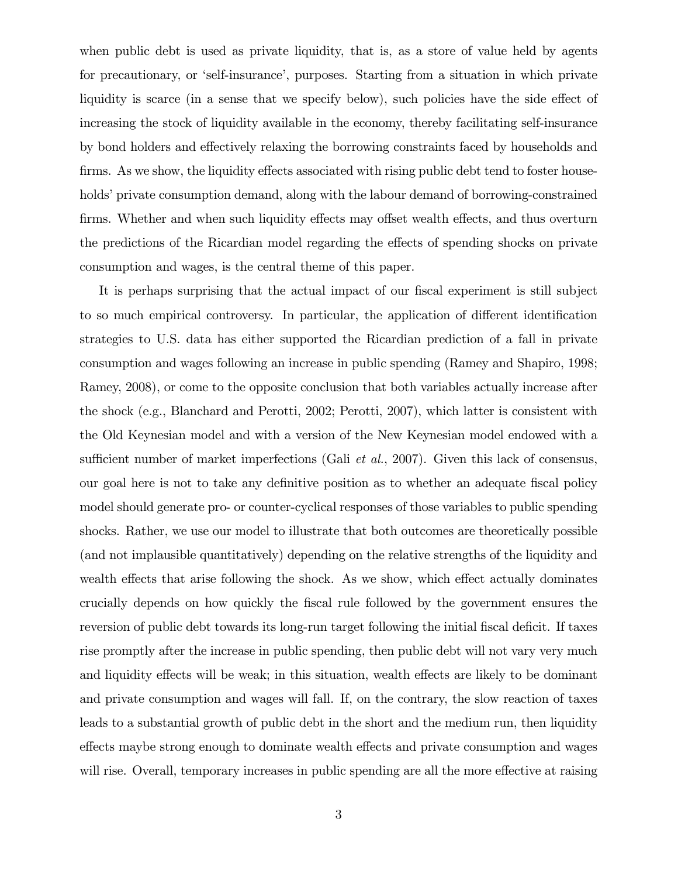when public debt is used as private liquidity, that is, as a store of value held by agents for precautionary, or 'self-insurance', purposes. Starting from a situation in which private liquidity is scarce (in a sense that we specify below), such policies have the side effect of increasing the stock of liquidity available in the economy, thereby facilitating self-insurance by bond holders and effectively relaxing the borrowing constraints faced by households and firms. As we show, the liquidity effects associated with rising public debt tend to foster households' private consumption demand, along with the labour demand of borrowing-constrained firms. Whether and when such liquidity effects may offset wealth effects, and thus overturn the predictions of the Ricardian model regarding the effects of spending shocks on private consumption and wages, is the central theme of this paper.

It is perhaps surprising that the actual impact of our fiscal experiment is still subject to so much empirical controversy. In particular, the application of different identification strategies to U.S. data has either supported the Ricardian prediction of a fall in private consumption and wages following an increase in public spending (Ramey and Shapiro, 1998; Ramey, 2008), or come to the opposite conclusion that both variables actually increase after the shock (e.g., Blanchard and Perotti, 2002; Perotti, 2007), which latter is consistent with the Old Keynesian model and with a version of the New Keynesian model endowed with a sufficient number of market imperfections (Gali *et al.*, 2007). Given this lack of consensus, our goal here is not to take any definitive position as to whether an adequate fiscal policy model should generate pro- or counter-cyclical responses of those variables to public spending shocks. Rather, we use our model to illustrate that both outcomes are theoretically possible (and not implausible quantitatively) depending on the relative strengths of the liquidity and wealth effects that arise following the shock. As we show, which effect actually dominates crucially depends on how quickly the Öscal rule followed by the government ensures the reversion of public debt towards its long-run target following the initial fiscal deficit. If taxes rise promptly after the increase in public spending, then public debt will not vary very much and liquidity effects will be weak; in this situation, wealth effects are likely to be dominant and private consumption and wages will fall. If, on the contrary, the slow reaction of taxes leads to a substantial growth of public debt in the short and the medium run, then liquidity effects maybe strong enough to dominate wealth effects and private consumption and wages will rise. Overall, temporary increases in public spending are all the more effective at raising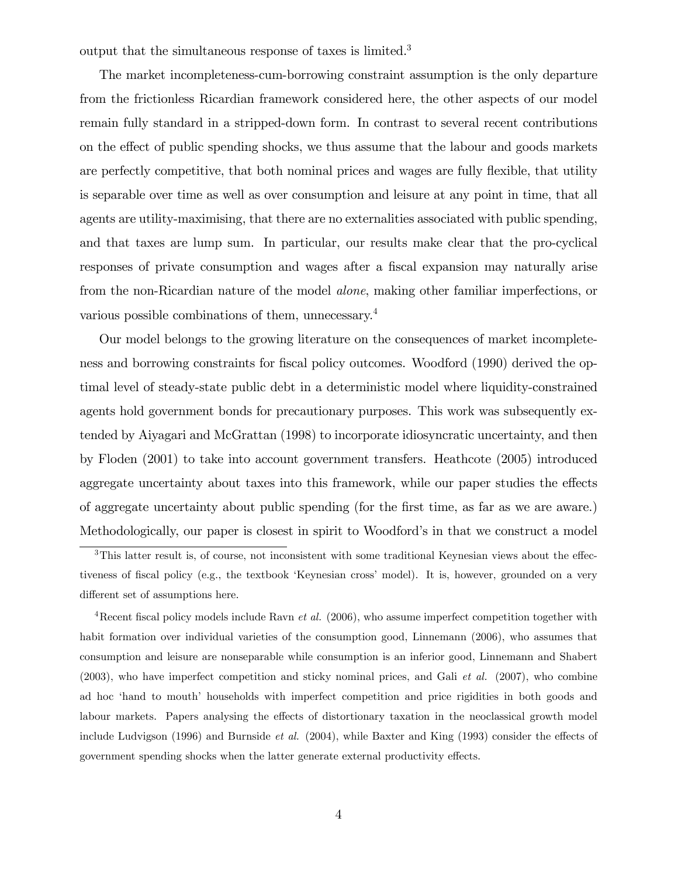output that the simultaneous response of taxes is limited.<sup>3</sup>

The market incompleteness-cum-borrowing constraint assumption is the only departure from the frictionless Ricardian framework considered here, the other aspects of our model remain fully standard in a stripped-down form. In contrast to several recent contributions on the effect of public spending shocks, we thus assume that the labour and goods markets are perfectly competitive, that both nominal prices and wages are fully flexible, that utility is separable over time as well as over consumption and leisure at any point in time, that all agents are utility-maximising, that there are no externalities associated with public spending, and that taxes are lump sum. In particular, our results make clear that the pro-cyclical responses of private consumption and wages after a fiscal expansion may naturally arise from the non-Ricardian nature of the model alone, making other familiar imperfections, or various possible combinations of them, unnecessary.<sup>4</sup>

Our model belongs to the growing literature on the consequences of market incompleteness and borrowing constraints for fiscal policy outcomes. Woodford (1990) derived the optimal level of steady-state public debt in a deterministic model where liquidity-constrained agents hold government bonds for precautionary purposes. This work was subsequently extended by Aiyagari and McGrattan (1998) to incorporate idiosyncratic uncertainty, and then by Floden (2001) to take into account government transfers. Heathcote (2005) introduced aggregate uncertainty about taxes into this framework, while our paper studies the effects of aggregate uncertainty about public spending (for the Örst time, as far as we are aware.) Methodologically, our paper is closest in spirit to Woodford's in that we construct a model

<sup>4</sup>Recent fiscal policy models include Ravn *et al.* (2006), who assume imperfect competition together with habit formation over individual varieties of the consumption good, Linnemann (2006), who assumes that consumption and leisure are nonseparable while consumption is an inferior good, Linnemann and Shabert (2003), who have imperfect competition and sticky nominal prices, and Gali et al. (2007), who combine ad hoc 'hand to mouth' households with imperfect competition and price rigidities in both goods and labour markets. Papers analysing the effects of distortionary taxation in the neoclassical growth model include Ludvigson (1996) and Burnside *et al.* (2004), while Baxter and King (1993) consider the effects of government spending shocks when the latter generate external productivity effects.

 $3$ This latter result is, of course, not inconsistent with some traditional Keynesian views about the effectiveness of fiscal policy (e.g., the textbook 'Keynesian cross' model). It is, however, grounded on a very different set of assumptions here.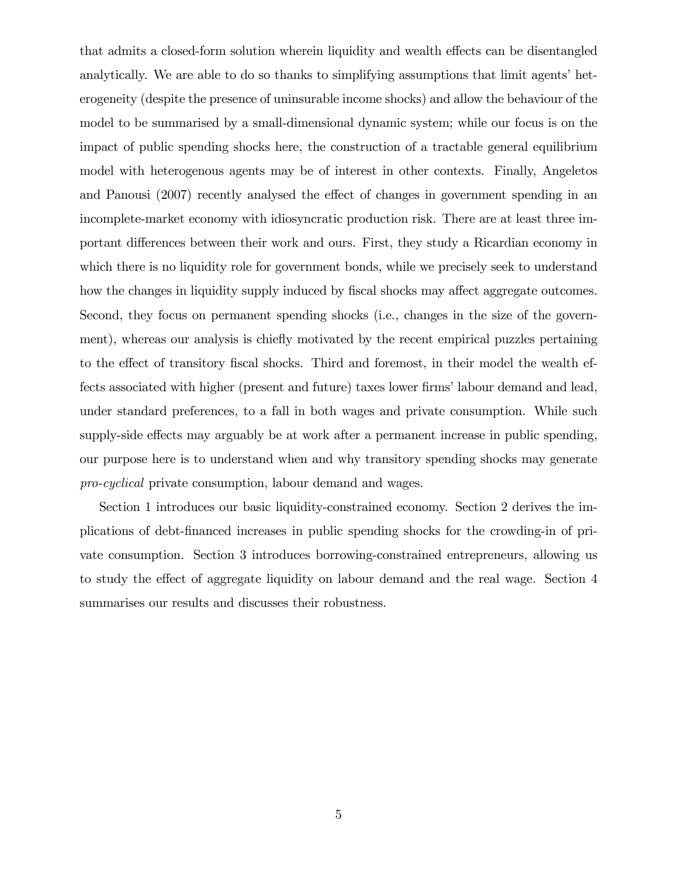that admits a closed-form solution wherein liquidity and wealth effects can be disentangled analytically. We are able to do so thanks to simplifying assumptions that limit agents' heterogeneity (despite the presence of uninsurable income shocks) and allow the behaviour of the model to be summarised by a small-dimensional dynamic system; while our focus is on the impact of public spending shocks here, the construction of a tractable general equilibrium model with heterogenous agents may be of interest in other contexts. Finally, Angeletos and Panousi (2007) recently analysed the effect of changes in government spending in an incomplete-market economy with idiosyncratic production risk. There are at least three important differences between their work and ours. First, they study a Ricardian economy in which there is no liquidity role for government bonds, while we precisely seek to understand how the changes in liquidity supply induced by fiscal shocks may affect aggregate outcomes. Second, they focus on permanent spending shocks (i.e., changes in the size of the government), whereas our analysis is chiefly motivated by the recent empirical puzzles pertaining to the effect of transitory fiscal shocks. Third and foremost, in their model the wealth effects associated with higher (present and future) taxes lower firms' labour demand and lead, under standard preferences, to a fall in both wages and private consumption. While such supply-side effects may arguably be at work after a permanent increase in public spending, our purpose here is to understand when and why transitory spending shocks may generate pro-cyclical private consumption, labour demand and wages.

Section 1 introduces our basic liquidity-constrained economy. Section 2 derives the implications of debt-Önanced increases in public spending shocks for the crowding-in of private consumption. Section 3 introduces borrowing-constrained entrepreneurs, allowing us to study the effect of aggregate liquidity on labour demand and the real wage. Section 4 summarises our results and discusses their robustness.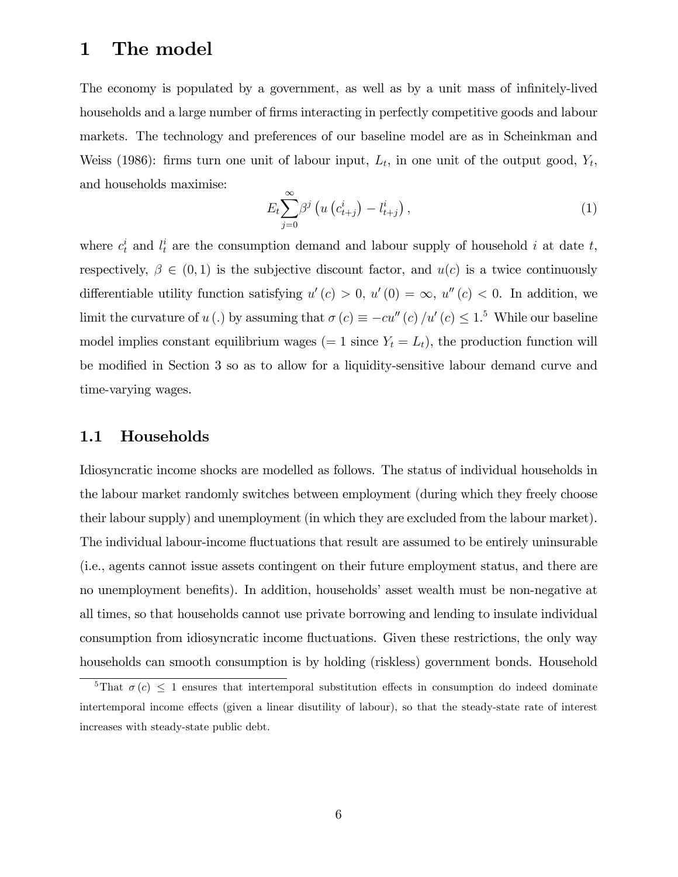#### 1 The model

The economy is populated by a government, as well as by a unit mass of infinitely-lived households and a large number of firms interacting in perfectly competitive goods and labour markets. The technology and preferences of our baseline model are as in Scheinkman and Weiss (1986): firms turn one unit of labour input,  $L_t$ , in one unit of the output good,  $Y_t$ , and households maximise:

$$
E_t \sum_{j=0}^{\infty} \beta^j \left( u \left( c_{t+j}^i \right) - l_{t+j}^i \right), \tag{1}
$$

where  $c_t^i$  and  $l_t^i$  are the consumption demand and labour supply of household i at date t, respectively,  $\beta \in (0,1)$  is the subjective discount factor, and  $u(c)$  is a twice continuously differentiable utility function satisfying  $u'(c) > 0$ ,  $u'(0) = \infty$ ,  $u''(c) < 0$ . In addition, we limit the curvature of  $u(.)$  by assuming that  $\sigma(c) \equiv -cu''(c)/u'(c) \leq 1.5$  While our baseline model implies constant equilibrium wages (= 1 since  $Y_t = L_t$ ), the production function will be modified in Section 3 so as to allow for a liquidity-sensitive labour demand curve and time-varying wages.

#### 1.1 Households

Idiosyncratic income shocks are modelled as follows. The status of individual households in the labour market randomly switches between employment (during which they freely choose their labour supply) and unemployment (in which they are excluded from the labour market). The individual labour-income fluctuations that result are assumed to be entirely uninsurable (i.e., agents cannot issue assets contingent on their future employment status, and there are no unemployment benefits). In addition, households' asset wealth must be non-negative at all times, so that households cannot use private borrowing and lending to insulate individual consumption from idiosyncratic income fluctuations. Given these restrictions, the only way households can smooth consumption is by holding (riskless) government bonds. Household

<sup>&</sup>lt;sup>5</sup>That  $\sigma(c) \leq 1$  ensures that intertemporal substitution effects in consumption do indeed dominate intertemporal income effects (given a linear disutility of labour), so that the steady-state rate of interest increases with steady-state public debt.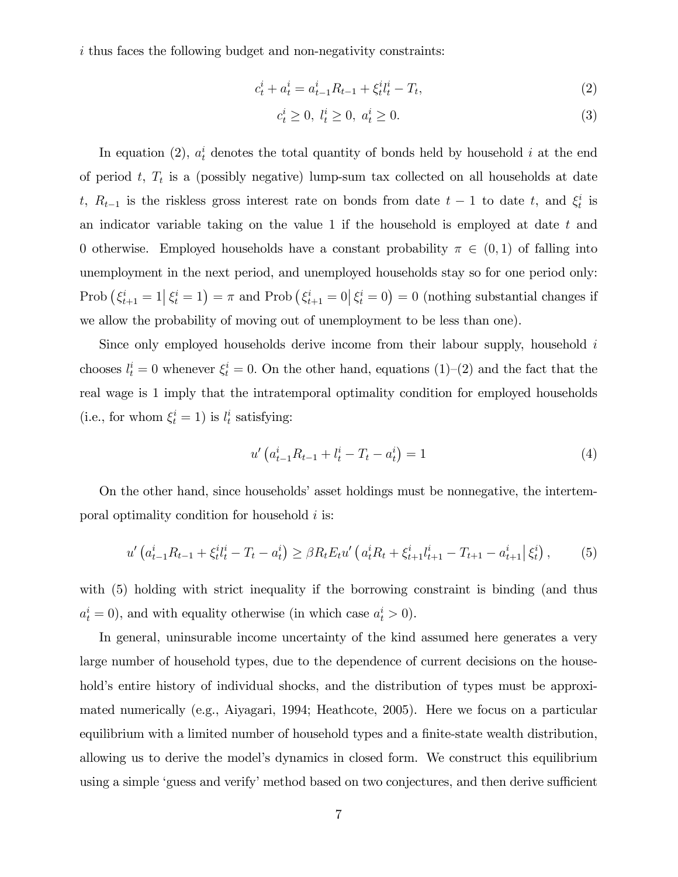i thus faces the following budget and non-negativity constraints:

$$
c_t^i + a_t^i = a_{t-1}^i R_{t-1} + \xi_t^i l_t^i - T_t,\tag{2}
$$

$$
c_t^i \ge 0, \ l_t^i \ge 0, \ a_t^i \ge 0. \tag{3}
$$

In equation (2),  $a_t^i$  denotes the total quantity of bonds held by household i at the end of period  $t, T_t$  is a (possibly negative) lump-sum tax collected on all households at date t,  $R_{t-1}$  is the riskless gross interest rate on bonds from date  $t-1$  to date t, and  $\xi_t^i$  is an indicator variable taking on the value 1 if the household is employed at date  $t$  and 0 otherwise. Employed households have a constant probability  $\pi \in (0,1)$  of falling into unemployment in the next period, and unemployed households stay so for one period only: Prob  $(\xi_{t+1}^i = 1 | \xi_t^i = 1) = \pi$  and Prob  $(\xi_{t+1}^i = 0 | \xi_t^i = 0) = 0$  (nothing substantial changes if we allow the probability of moving out of unemployment to be less than one).

Since only employed households derive income from their labour supply, household  $i$ chooses  $l_t^i = 0$  whenever  $\xi_t^i = 0$ . On the other hand, equations (1)–(2) and the fact that the real wage is 1 imply that the intratemporal optimality condition for employed households (i.e., for whom  $\xi_t^i = 1$ ) is  $l_t^i$  satisfying:

$$
u'\left(a_{t-1}^i R_{t-1} + l_t^i - T_t - a_t^i\right) = 1\tag{4}
$$

On the other hand, since households' asset holdings must be nonnegative, the intertemporal optimality condition for household  $i$  is:

$$
u'\left(a_{t-1}^i R_{t-1} + \xi_t^i l_t^i - T_t - a_t^i\right) \ge \beta R_t E_t u'\left(a_t^i R_t + \xi_{t+1}^i l_{t+1}^i - T_{t+1} - a_{t+1}^i \middle| \xi_t^i\right),\tag{5}
$$

with (5) holding with strict inequality if the borrowing constraint is binding (and thus  $a_t^i = 0$ , and with equality otherwise (in which case  $a_t^i > 0$ ).

In general, uninsurable income uncertainty of the kind assumed here generates a very large number of household types, due to the dependence of current decisions on the household's entire history of individual shocks, and the distribution of types must be approximated numerically (e.g., Aiyagari, 1994; Heathcote, 2005). Here we focus on a particular equilibrium with a limited number of household types and a finite-state wealth distribution, allowing us to derive the model's dynamics in closed form. We construct this equilibrium using a simple 'guess and verify' method based on two conjectures, and then derive sufficient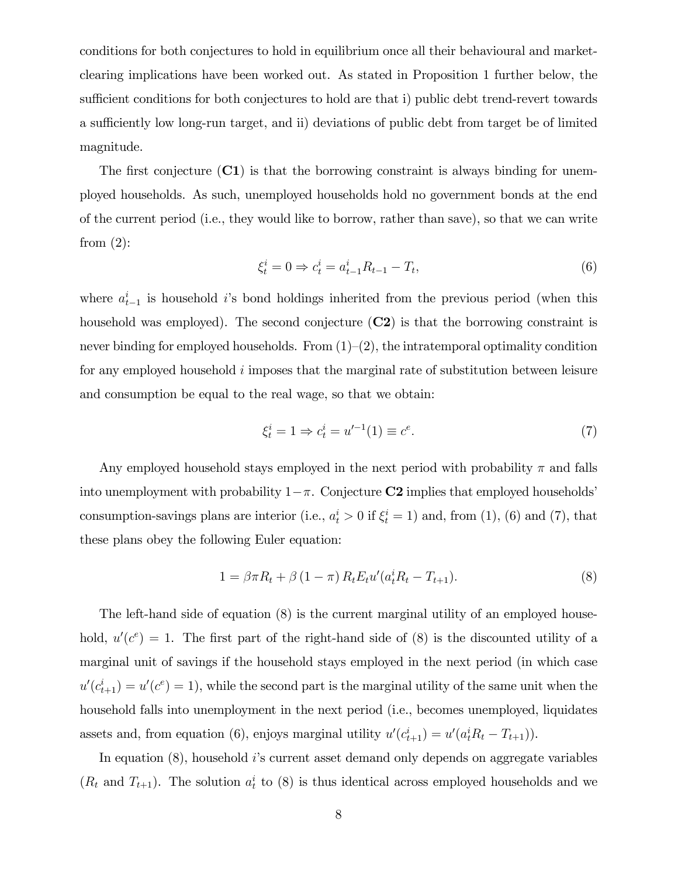conditions for both conjectures to hold in equilibrium once all their behavioural and marketclearing implications have been worked out. As stated in Proposition 1 further below, the sufficient conditions for both conjectures to hold are that i) public debt trend-revert towards a sufficiently low long-run target, and ii) deviations of public debt from target be of limited magnitude.

The first conjecture  $(C1)$  is that the borrowing constraint is always binding for unemployed households. As such, unemployed households hold no government bonds at the end of the current period (i.e., they would like to borrow, rather than save), so that we can write from  $(2)$ :

$$
\xi_t^i = 0 \Rightarrow c_t^i = a_{t-1}^i R_{t-1} - T_t,\tag{6}
$$

where  $a_{t-1}^i$  is household i's bond holdings inherited from the previous period (when this household was employed). The second conjecture  $(C2)$  is that the borrowing constraint is never binding for employed households. From  $(1)-(2)$ , the intratemporal optimality condition for any employed household  $i$  imposes that the marginal rate of substitution between leisure and consumption be equal to the real wage, so that we obtain:

$$
\xi_t^i = 1 \Rightarrow c_t^i = u'^{-1}(1) \equiv c^e. \tag{7}
$$

Any employed household stays employed in the next period with probability  $\pi$  and falls into unemployment with probability  $1-\pi$ . Conjecture **C2** implies that employed households<sup>7</sup> consumption-savings plans are interior (i.e.,  $a_t^i > 0$  if  $\xi_t^i = 1$ ) and, from (1), (6) and (7), that these plans obey the following Euler equation:

$$
1 = \beta \pi R_t + \beta (1 - \pi) R_t E_t u' (a_t^i R_t - T_{t+1}). \tag{8}
$$

The left-hand side of equation (8) is the current marginal utility of an employed household,  $u'(c^e) = 1$ . The first part of the right-hand side of (8) is the discounted utility of a marginal unit of savings if the household stays employed in the next period (in which case  $u'(c_{t+1}^i) = u'(c^e) = 1$ , while the second part is the marginal utility of the same unit when the household falls into unemployment in the next period (i.e., becomes unemployed, liquidates assets and, from equation (6), enjoys marginal utility  $u'(c_{t+1}^i) = u'(a_t^i R_t - T_{t+1})$ .

In equation (8), household *i*'s current asset demand only depends on aggregate variables  $(R_t$  and  $T_{t+1})$ . The solution  $a_t^i$  to (8) is thus identical across employed households and we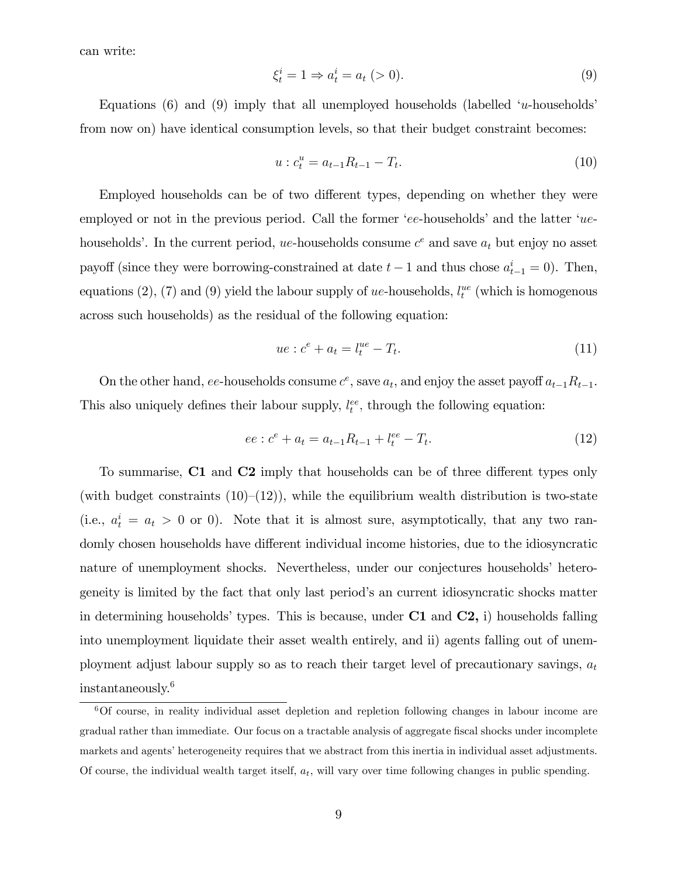can write:

$$
\xi_t^i = 1 \Rightarrow a_t^i = a_t \; (> 0). \tag{9}
$$

Equations (6) and (9) imply that all unemployed households (labelled  $u$ -households from now on) have identical consumption levels, so that their budget constraint becomes:

$$
u: c_t^u = a_{t-1}R_{t-1} - T_t.
$$
\n(10)

Employed households can be of two different types, depending on whether they were employed or not in the previous period. Call the former 'ee-households' and the latter ' $ue$ households'. In the current period, ue-households consume  $c^e$  and save  $a_t$  but enjoy no asset payoff (since they were borrowing-constrained at date  $t-1$  and thus chose  $a_{t-1}^i = 0$ ). Then, equations (2), (7) and (9) yield the labour supply of ue-households,  $l_t^{ue}$  (which is homogenous across such households) as the residual of the following equation:

$$
ue: ce + at = ltue - Tt.
$$
\n(11)

On the other hand, ee-households consume  $c^e$ , save  $a_t$ , and enjoy the asset payoff  $a_{t-1}R_{t-1}$ . This also uniquely defines their labour supply,  $l_t^{ee}$ , through the following equation:

$$
ee: c^e + a_t = a_{t-1}R_{t-1} + l_t^{ee} - T_t.
$$
\n(12)

To summarise,  $C1$  and  $C2$  imply that households can be of three different types only (with budget constraints  $(10)–(12)$ ), while the equilibrium wealth distribution is two-state (i.e.,  $a_t^i = a_t > 0$  or 0). Note that it is almost sure, asymptotically, that any two randomly chosen households have different individual income histories, due to the idiosyncratic nature of unemployment shocks. Nevertheless, under our conjectures households' heterogeneity is limited by the fact that only last periodís an current idiosyncratic shocks matter in determining households' types. This is because, under  $C1$  and  $C2$ , i) households falling into unemployment liquidate their asset wealth entirely, and ii) agents falling out of unemployment adjust labour supply so as to reach their target level of precautionary savings,  $a_t$ instantaneously.<sup>6</sup>

<sup>6</sup>Of course, in reality individual asset depletion and repletion following changes in labour income are gradual rather than immediate. Our focus on a tractable analysis of aggregate fiscal shocks under incomplete markets and agents' heterogeneity requires that we abstract from this inertia in individual asset adjustments. Of course, the individual wealth target itself,  $a_t$ , will vary over time following changes in public spending.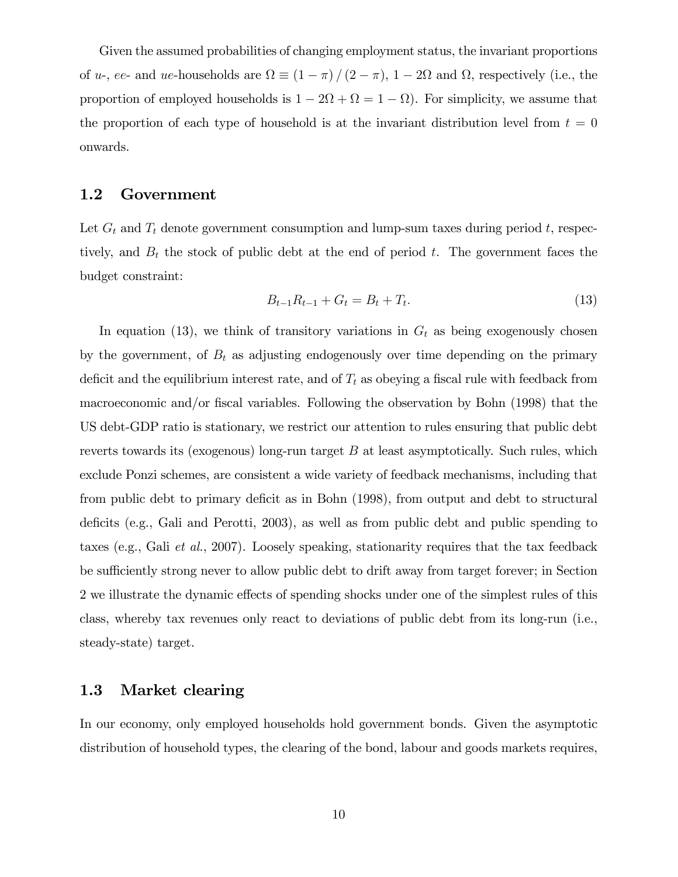Given the assumed probabilities of changing employment status, the invariant proportions of *u*-, *ee*- and *ue*-households are  $\Omega \equiv (1 - \pi) / (2 - \pi)$ ,  $1 - 2\Omega$  and  $\Omega$ , respectively (i.e., the proportion of employed households is  $1 - 2\Omega + \Omega = 1 - \Omega$ ). For simplicity, we assume that the proportion of each type of household is at the invariant distribution level from  $t = 0$ onwards.

#### 1.2 Government

Let  $G_t$  and  $T_t$  denote government consumption and lump-sum taxes during period t, respectively, and  $B_t$  the stock of public debt at the end of period t. The government faces the budget constraint:

$$
B_{t-1}R_{t-1} + G_t = B_t + T_t. \tag{13}
$$

In equation (13), we think of transitory variations in  $G_t$  as being exogenously chosen by the government, of  $B_t$  as adjusting endogenously over time depending on the primary deficit and the equilibrium interest rate, and of  $T_t$  as obeying a fiscal rule with feedback from macroeconomic and/or fiscal variables. Following the observation by Bohn (1998) that the US debt-GDP ratio is stationary, we restrict our attention to rules ensuring that public debt reverts towards its (exogenous) long-run target B at least asymptotically. Such rules, which exclude Ponzi schemes, are consistent a wide variety of feedback mechanisms, including that from public debt to primary deficit as in Bohn (1998), from output and debt to structural deficits (e.g., Gali and Perotti, 2003), as well as from public debt and public spending to taxes (e.g., Gali et al., 2007). Loosely speaking, stationarity requires that the tax feedback be sufficiently strong never to allow public debt to drift away from target forever; in Section 2 we illustrate the dynamic effects of spending shocks under one of the simplest rules of this class, whereby tax revenues only react to deviations of public debt from its long-run (i.e., steady-state) target.

#### 1.3 Market clearing

In our economy, only employed households hold government bonds. Given the asymptotic distribution of household types, the clearing of the bond, labour and goods markets requires,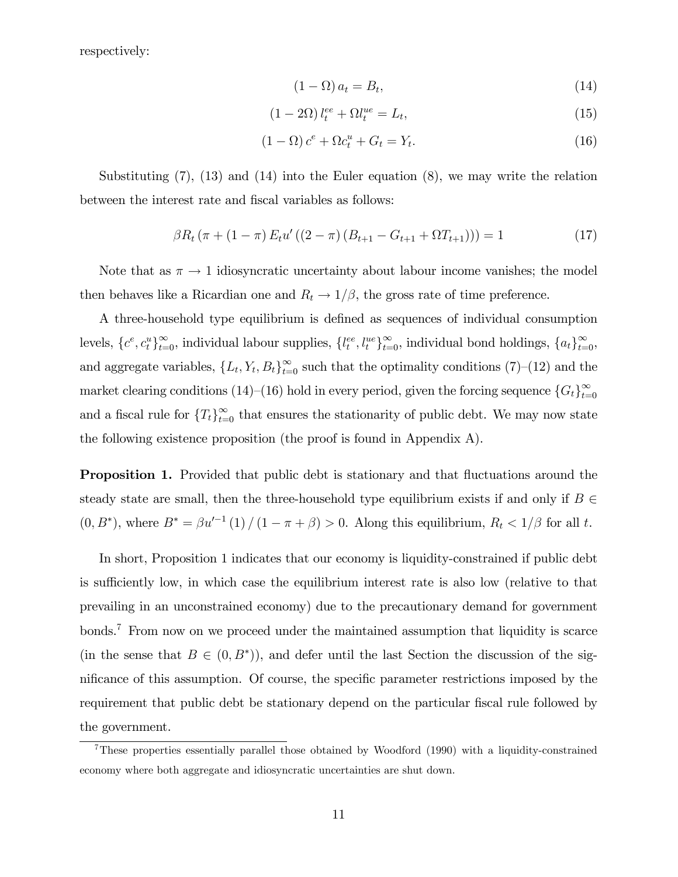respectively:

$$
(1 - \Omega) a_t = B_t,\tag{14}
$$

$$
(1 - 2\Omega) l_t^{ee} + \Omega l_t^{ue} = L_t,
$$
\n<sup>(15)</sup>

$$
(1 - \Omega)c^e + \Omega c_t^u + G_t = Y_t.
$$
\n
$$
(16)
$$

Substituting (7), (13) and (14) into the Euler equation (8), we may write the relation between the interest rate and fiscal variables as follows:

$$
\beta R_t \left( \pi + (1 - \pi) E_t u' \left( (2 - \pi) \left( B_{t+1} - G_{t+1} + \Omega T_{t+1} \right) \right) \right) = 1 \tag{17}
$$

Note that as  $\pi \to 1$  idiosyncratic uncertainty about labour income vanishes; the model then behaves like a Ricardian one and  $R_t \rightarrow 1/\beta$ , the gross rate of time preference.

A three-household type equilibrium is defined as sequences of individual consumption levels,  $\{c^e, c^u_t\}_{t=0}^{\infty}$ , individual labour supplies,  $\{l_t^{ee}, l_t^{ue}\}_{t=0}^{\infty}$ , individual bond holdings,  $\{a_t\}_{t=0}^{\infty}$ , and aggregate variables,  $\{L_t, Y_t, B_t\}_{t=0}^{\infty}$  such that the optimality conditions (7)–(12) and the market clearing conditions (14)–(16) hold in every period, given the forcing sequence  ${G_t}_{t=0}^{\infty}$ and a fiscal rule for  $\{T_t\}_{t=0}^{\infty}$  that ensures the stationarity of public debt. We may now state the following existence proposition (the proof is found in Appendix A).

**Proposition 1.** Provided that public debt is stationary and that fluctuations around the steady state are small, then the three-household type equilibrium exists if and only if  $B \in$  $(0, B^*)$ , where  $B^* = \beta u'^{-1}(1) / (1 - \pi + \beta) > 0$ . Along this equilibrium,  $R_t < 1/\beta$  for all t.

In short, Proposition 1 indicates that our economy is liquidity-constrained if public debt is sufficiently low, in which case the equilibrium interest rate is also low (relative to that prevailing in an unconstrained economy) due to the precautionary demand for government bonds.<sup>7</sup> From now on we proceed under the maintained assumption that liquidity is scarce (in the sense that  $B \in (0, B^*)$ ), and defer until the last Section the discussion of the significance of this assumption. Of course, the specific parameter restrictions imposed by the requirement that public debt be stationary depend on the particular fiscal rule followed by the government.

<sup>7</sup>These properties essentially parallel those obtained by Woodford (1990) with a liquidity-constrained economy where both aggregate and idiosyncratic uncertainties are shut down.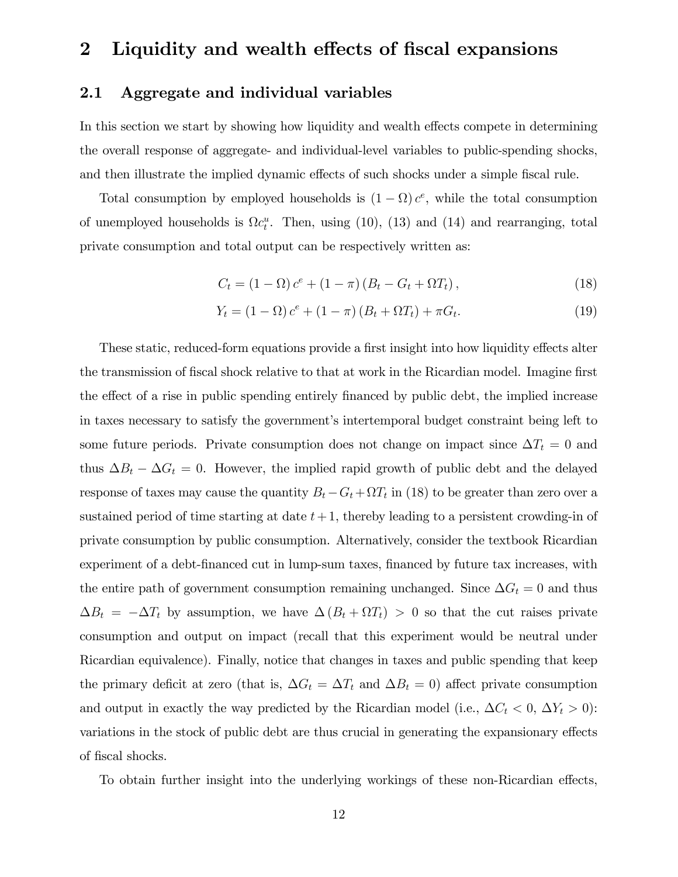## 2 Liquidity and wealth effects of fiscal expansions

#### 2.1 Aggregate and individual variables

In this section we start by showing how liquidity and wealth effects compete in determining the overall response of aggregate- and individual-level variables to public-spending shocks, and then illustrate the implied dynamic effects of such shocks under a simple fiscal rule.

Total consumption by employed households is  $(1 - \Omega) c^e$ , while the total consumption of unemployed households is  $\Omega c_t^u$ . Then, using (10), (13) and (14) and rearranging, total private consumption and total output can be respectively written as:

$$
C_t = (1 - \Omega) c^e + (1 - \pi) (B_t - G_t + \Omega T_t), \qquad (18)
$$

$$
Y_t = (1 - \Omega) c^e + (1 - \pi) (B_t + \Omega T_t) + \pi G_t.
$$
 (19)

These static, reduced-form equations provide a first insight into how liquidity effects alter the transmission of fiscal shock relative to that at work in the Ricardian model. Imagine first the effect of a rise in public spending entirely financed by public debt, the implied increase in taxes necessary to satisfy the government's intertemporal budget constraint being left to some future periods. Private consumption does not change on impact since  $\Delta T_t = 0$  and thus  $\Delta B_t - \Delta G_t = 0$ . However, the implied rapid growth of public debt and the delayed response of taxes may cause the quantity  $B_t - G_t + \Omega T_t$  in (18) to be greater than zero over a sustained period of time starting at date  $t+1$ , thereby leading to a persistent crowding-in of private consumption by public consumption. Alternatively, consider the textbook Ricardian experiment of a debt-financed cut in lump-sum taxes, financed by future tax increases, with the entire path of government consumption remaining unchanged. Since  $\Delta G_t = 0$  and thus  $\Delta B_t = -\Delta T_t$  by assumption, we have  $\Delta (B_t + \Omega T_t) > 0$  so that the cut raises private consumption and output on impact (recall that this experiment would be neutral under Ricardian equivalence). Finally, notice that changes in taxes and public spending that keep the primary deficit at zero (that is,  $\Delta G_t = \Delta T_t$  and  $\Delta B_t = 0$ ) affect private consumption and output in exactly the way predicted by the Ricardian model (i.e.,  $\Delta C_t < 0$ ,  $\Delta Y_t > 0$ ): variations in the stock of public debt are thus crucial in generating the expansionary effects of fiscal shocks.

To obtain further insight into the underlying workings of these non-Ricardian effects,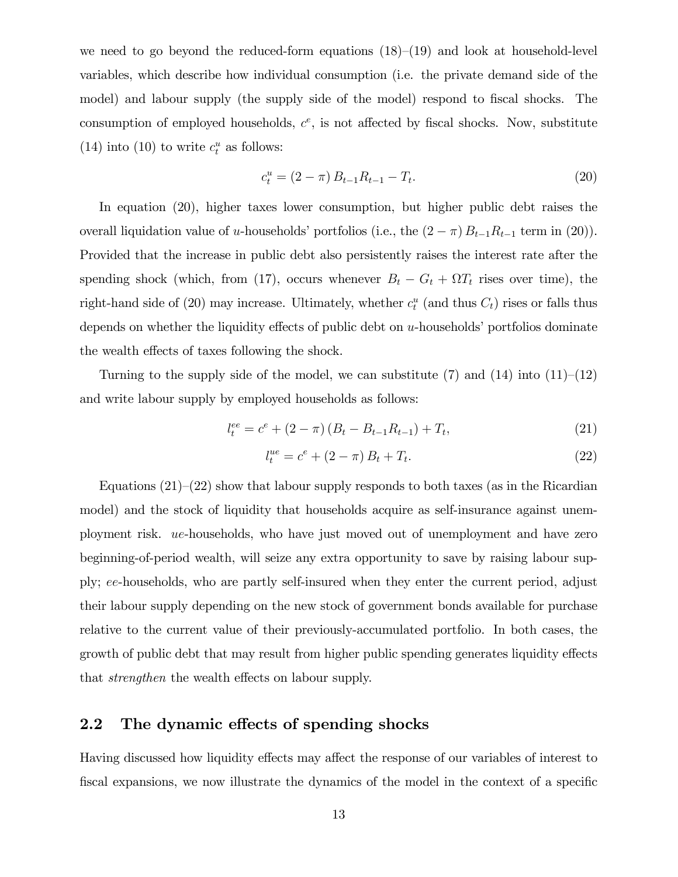we need to go beyond the reduced-form equations  $(18)$ – $(19)$  and look at household-level variables, which describe how individual consumption (i.e. the private demand side of the model) and labour supply (the supply side of the model) respond to fiscal shocks. The consumption of employed households,  $c^e$ , is not affected by fiscal shocks. Now, substitute (14) into (10) to write  $c_t^u$  as follows:

$$
c_t^u = (2 - \pi) B_{t-1} R_{t-1} - T_t.
$$
\n(20)

In equation (20), higher taxes lower consumption, but higher public debt raises the overall liquidation value of u-households' portfolios (i.e., the  $(2 - \pi) B_{t-1}R_{t-1}$  term in (20)). Provided that the increase in public debt also persistently raises the interest rate after the spending shock (which, from (17), occurs whenever  $B_t - G_t + \Omega T_t$  rises over time), the right-hand side of (20) may increase. Ultimately, whether  $c_t^u$  (and thus  $C_t$ ) rises or falls thus depends on whether the liquidity effects of public debt on  $u$ -households' portfolios dominate the wealth effects of taxes following the shock.

Turning to the supply side of the model, we can substitute (7) and (14) into  $(11)$ – $(12)$ and write labour supply by employed households as follows:

$$
l_t^{ee} = c^e + (2 - \pi) (B_t - B_{t-1} R_{t-1}) + T_t,
$$
\n(21)

$$
l_t^{ue} = c^e + (2 - \pi) B_t + T_t.
$$
\n(22)

Equations  $(21)-(22)$  show that labour supply responds to both taxes (as in the Ricardian model) and the stock of liquidity that households acquire as self-insurance against unemployment risk. ue-households, who have just moved out of unemployment and have zero beginning-of-period wealth, will seize any extra opportunity to save by raising labour supply; ee-households, who are partly self-insured when they enter the current period, adjust their labour supply depending on the new stock of government bonds available for purchase relative to the current value of their previously-accumulated portfolio. In both cases, the growth of public debt that may result from higher public spending generates liquidity effects that *strengthen* the wealth effects on labour supply.

#### 2.2 The dynamic effects of spending shocks

Having discussed how liquidity effects may affect the response of our variables of interest to fiscal expansions, we now illustrate the dynamics of the model in the context of a specific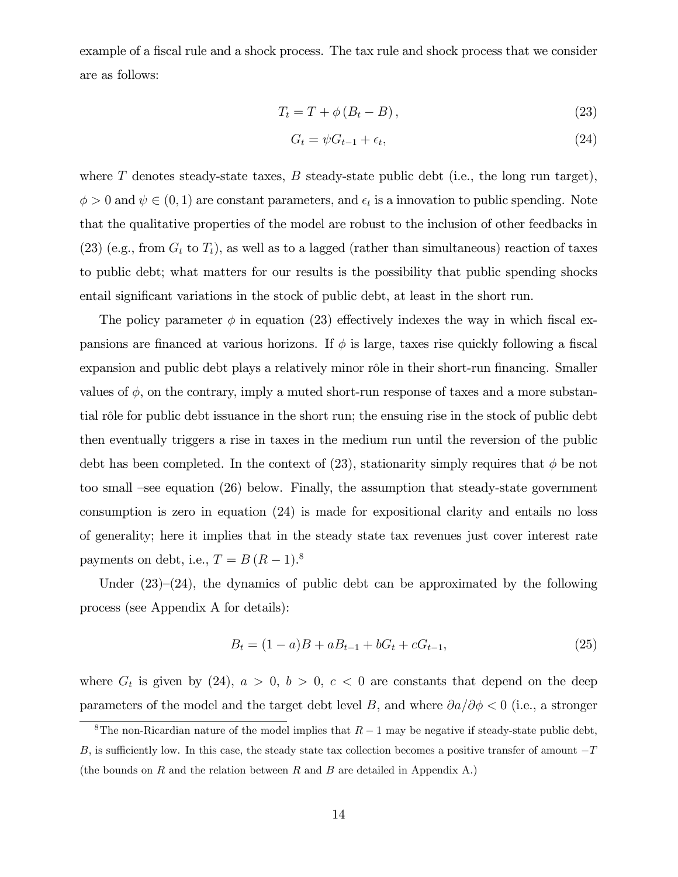example of a fiscal rule and a shock process. The tax rule and shock process that we consider are as follows:

$$
T_t = T + \phi \left( B_t - B \right), \tag{23}
$$

$$
G_t = \psi G_{t-1} + \epsilon_t,\tag{24}
$$

where  $T$  denotes steady-state taxes,  $B$  steady-state public debt (i.e., the long run target),  $\phi > 0$  and  $\psi \in (0, 1)$  are constant parameters, and  $\epsilon_t$  is a innovation to public spending. Note that the qualitative properties of the model are robust to the inclusion of other feedbacks in  $(23)$  (e.g., from  $G_t$  to  $T_t$ ), as well as to a lagged (rather than simultaneous) reaction of taxes to public debt; what matters for our results is the possibility that public spending shocks entail significant variations in the stock of public debt, at least in the short run.

The policy parameter  $\phi$  in equation (23) effectively indexes the way in which fiscal expansions are financed at various horizons. If  $\phi$  is large, taxes rise quickly following a fiscal expansion and public debt plays a relatively minor rôle in their short-run financing. Smaller values of  $\phi$ , on the contrary, imply a muted short-run response of taxes and a more substantial rôle for public debt issuance in the short run; the ensuing rise in the stock of public debt then eventually triggers a rise in taxes in the medium run until the reversion of the public debt has been completed. In the context of (23), stationarity simply requires that  $\phi$  be not too small  $\text{-see equation}$  (26) below. Finally, the assumption that steady-state government consumption is zero in equation (24) is made for expositional clarity and entails no loss of generality; here it implies that in the steady state tax revenues just cover interest rate payments on debt, i.e.,  $T = B (R - 1)^8$ 

Under  $(23)-(24)$ , the dynamics of public debt can be approximated by the following process (see Appendix A for details):

$$
B_t = (1 - a)B + aB_{t-1} + bG_t + cG_{t-1},
$$
\n(25)

where  $G_t$  is given by (24),  $a > 0$ ,  $b > 0$ ,  $c < 0$  are constants that depend on the deep parameters of the model and the target debt level B, and where  $\partial a/\partial \phi < 0$  (i.e., a stronger

<sup>&</sup>lt;sup>8</sup>The non-Ricardian nature of the model implies that  $R-1$  may be negative if steady-state public debt, B, is sufficiently low. In this case, the steady state tax collection becomes a positive transfer of amount  $-T$ (the bounds on R and the relation between R and B are detailed in Appendix A.)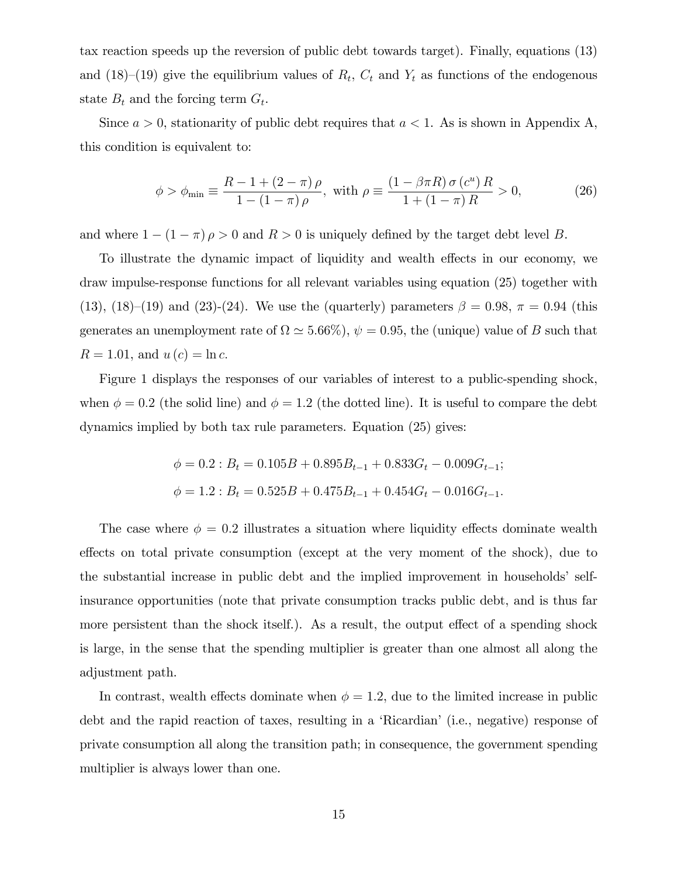tax reaction speeds up the reversion of public debt towards target). Finally, equations (13) and (18)–(19) give the equilibrium values of  $R_t$ ,  $C_t$  and  $Y_t$  as functions of the endogenous state  $B_t$  and the forcing term  $G_t$ .

Since  $a > 0$ , stationarity of public debt requires that  $a < 1$ . As is shown in Appendix A, this condition is equivalent to:

$$
\phi > \phi_{\min} \equiv \frac{R - 1 + (2 - \pi)\,\rho}{1 - (1 - \pi)\,\rho}, \text{ with } \rho \equiv \frac{(1 - \beta\pi R)\,\sigma\,(c^u)\,R}{1 + (1 - \pi)\,R} > 0,\tag{26}
$$

and where  $1 - (1 - \pi) \rho > 0$  and  $R > 0$  is uniquely defined by the target debt level B.

To illustrate the dynamic impact of liquidity and wealth effects in our economy, we draw impulse-response functions for all relevant variables using equation (25) together with (13), (18)–(19) and (23)-(24). We use the (quarterly) parameters  $\beta = 0.98$ ,  $\pi = 0.94$  (this generates an unemployment rate of  $\Omega \simeq 5.66\%, \psi = 0.95$ , the (unique) value of B such that  $R = 1.01$ , and  $u(c) = \ln c$ .

Figure 1 displays the responses of our variables of interest to a public-spending shock, when  $\phi = 0.2$  (the solid line) and  $\phi = 1.2$  (the dotted line). It is useful to compare the debt dynamics implied by both tax rule parameters. Equation (25) gives:

$$
\phi = 0.2 : B_t = 0.105B + 0.895B_{t-1} + 0.833G_t - 0.009G_{t-1};
$$
  

$$
\phi = 1.2 : B_t = 0.525B + 0.475B_{t-1} + 0.454G_t - 0.016G_{t-1}.
$$

The case where  $\phi = 0.2$  illustrates a situation where liquidity effects dominate wealth effects on total private consumption (except at the very moment of the shock), due to the substantial increase in public debt and the implied improvement in households' selfinsurance opportunities (note that private consumption tracks public debt, and is thus far more persistent than the shock itself.). As a result, the output effect of a spending shock is large, in the sense that the spending multiplier is greater than one almost all along the adjustment path.

In contrast, wealth effects dominate when  $\phi = 1.2$ , due to the limited increase in public debt and the rapid reaction of taxes, resulting in a 'Ricardian' (i.e., negative) response of private consumption all along the transition path; in consequence, the government spending multiplier is always lower than one.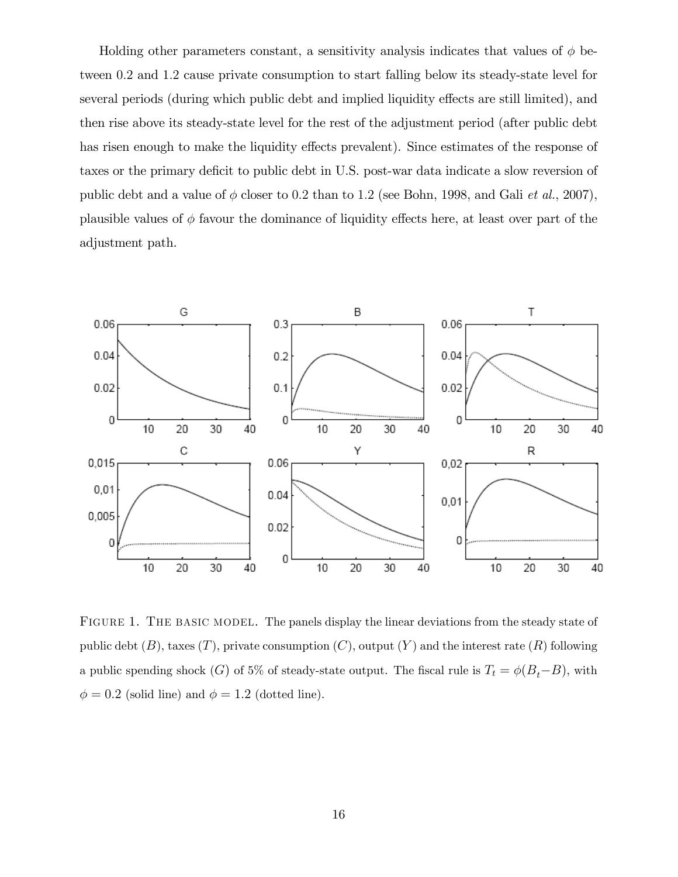Holding other parameters constant, a sensitivity analysis indicates that values of  $\phi$  between 0:2 and 1:2 cause private consumption to start falling below its steady-state level for several periods (during which public debt and implied liquidity effects are still limited), and then rise above its steady-state level for the rest of the adjustment period (after public debt has risen enough to make the liquidity effects prevalent). Since estimates of the response of taxes or the primary deficit to public debt in U.S. post-war data indicate a slow reversion of public debt and a value of  $\phi$  closer to 0.2 than to 1.2 (see Bohn, 1998, and Gali *et al.*, 2007), plausible values of  $\phi$  favour the dominance of liquidity effects here, at least over part of the adjustment path.



FIGURE 1. THE BASIC MODEL. The panels display the linear deviations from the steady state of public debt  $(B)$ , taxes  $(T)$ , private consumption  $(C)$ , output  $(Y)$  and the interest rate  $(R)$  following a public spending shock  $(G)$  of 5% of steady-state output. The fiscal rule is  $T_t = \phi(B_t - B)$ , with  $\phi = 0.2$  (solid line) and  $\phi = 1.2$  (dotted line).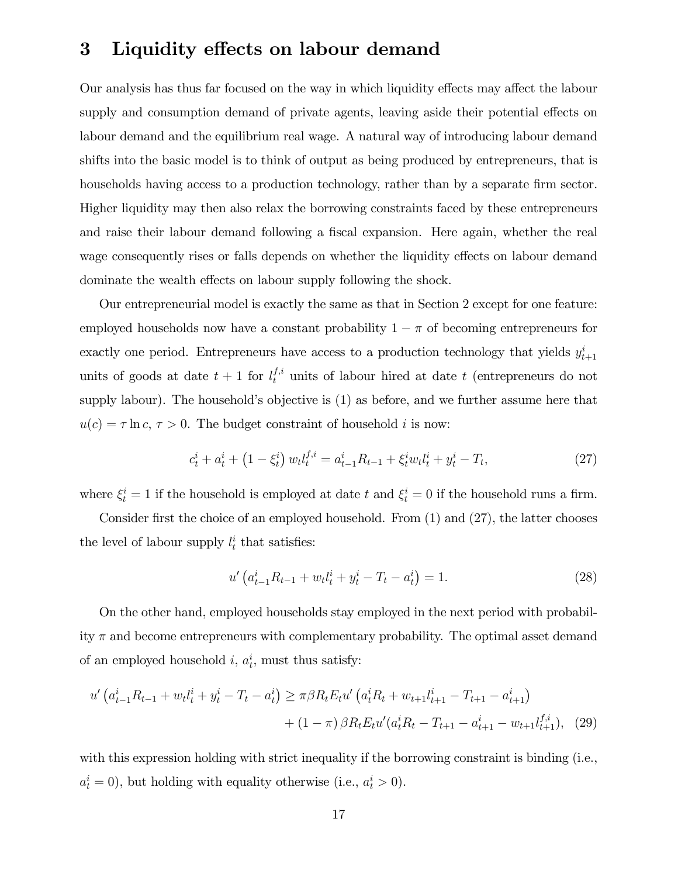## 3 Liquidity effects on labour demand

Our analysis has thus far focused on the way in which liquidity effects may affect the labour supply and consumption demand of private agents, leaving aside their potential effects on labour demand and the equilibrium real wage. A natural way of introducing labour demand shifts into the basic model is to think of output as being produced by entrepreneurs, that is households having access to a production technology, rather than by a separate firm sector. Higher liquidity may then also relax the borrowing constraints faced by these entrepreneurs and raise their labour demand following a fiscal expansion. Here again, whether the real wage consequently rises or falls depends on whether the liquidity effects on labour demand dominate the wealth effects on labour supply following the shock.

Our entrepreneurial model is exactly the same as that in Section 2 except for one feature: employed households now have a constant probability  $1 - \pi$  of becoming entrepreneurs for exactly one period. Entrepreneurs have access to a production technology that yields  $y_{t+1}^i$ units of goods at date  $t+1$  for  $l_t^{f,i}$  units of labour hired at date t (entrepreneurs do not supply labour). The household's objective is  $(1)$  as before, and we further assume here that  $u(c) = \tau \ln c, \tau > 0$ . The budget constraint of household *i* is now:

$$
c_t^i + a_t^i + (1 - \xi_t^i) w_t l_t^{f,i} = a_{t-1}^i R_{t-1} + \xi_t^i w_t l_t^i + y_t^i - T_t,
$$
\n(27)

where  $\xi_t^i = 1$  if the household is employed at date t and  $\xi_t^i = 0$  if the household runs a firm.

Consider first the choice of an employed household. From  $(1)$  and  $(27)$ , the latter chooses the level of labour supply  $l_t^i$  that satisfies:

$$
u'\left(a_{t-1}^i R_{t-1} + w_t l_t^i + y_t^i - T_t - a_t^i\right) = 1.
$$
\n(28)

On the other hand, employed households stay employed in the next period with probability  $\pi$  and become entrepreneurs with complementary probability. The optimal asset demand of an employed household  $i, a_t^i$ , must thus satisfy:

$$
u'\left(a_{t-1}^{i}R_{t-1} + w_{t}l_{t}^{i} + y_{t}^{i} - T_{t} - a_{t}^{i}\right) \geq \pi\beta R_{t}E_{t}u'\left(a_{t}^{i}R_{t} + w_{t+1}l_{t+1}^{i} - T_{t+1} - a_{t+1}^{i}\right) + (1 - \pi)\beta R_{t}E_{t}u'\left(a_{t}^{i}R_{t} - T_{t+1} - a_{t+1}^{i} - w_{t+1}l_{t+1}^{i,i}\right), (29)
$$

with this expression holding with strict inequality if the borrowing constraint is binding (i.e.,  $a_t^i = 0$ , but holding with equality otherwise (i.e.,  $a_t^i > 0$ ).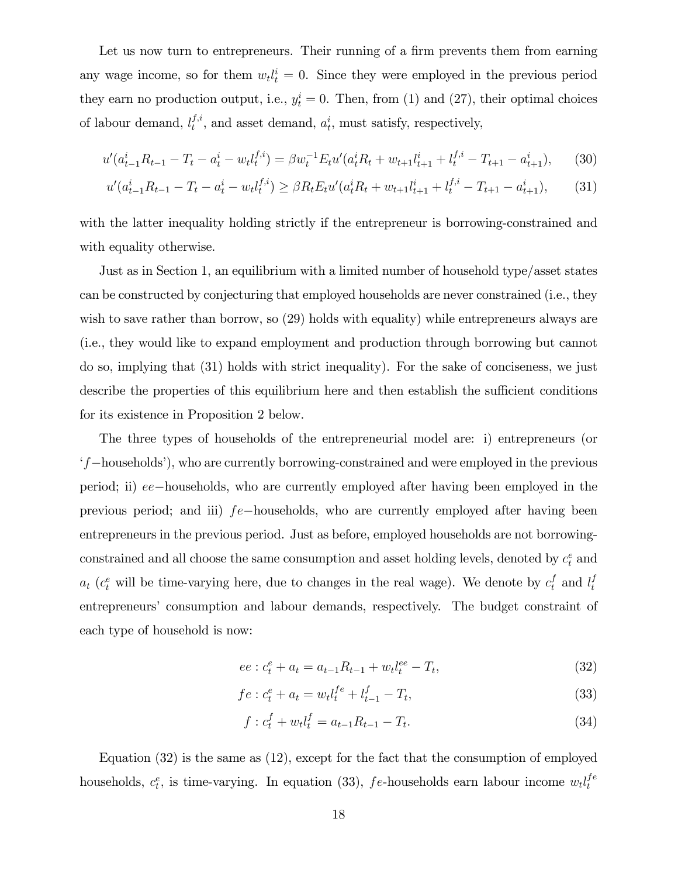Let us now turn to entrepreneurs. Their running of a firm prevents them from earning any wage income, so for them  $w_t l_t^i = 0$ . Since they were employed in the previous period they earn no production output, i.e.,  $y_t^i = 0$ . Then, from (1) and (27), their optimal choices of labour demand,  $l_t^{f,i}$  $t^{j,i}$ , and asset demand,  $a_t^i$ , must satisfy, respectively,

$$
u'(a_{t-1}^i R_{t-1} - T_t - a_t^i - w_t l_t^{f,i}) = \beta w_t^{-1} E_t u'(a_t^i R_t + w_{t+1} l_{t+1}^i + l_t^{f,i} - T_{t+1} - a_{t+1}^i), \tag{30}
$$

$$
u'(a_{t-1}^i R_{t-1} - T_t - a_t^i - w_t l_t^{f,i}) \ge \beta R_t E_t u'(a_t^i R_t + w_{t+1} l_{t+1}^i + l_t^{f,i} - T_{t+1} - a_{t+1}^i),\tag{31}
$$

with the latter inequality holding strictly if the entrepreneur is borrowing-constrained and with equality otherwise.

Just as in Section 1, an equilibrium with a limited number of household type/asset states can be constructed by conjecturing that employed households are never constrained (i.e., they wish to save rather than borrow, so  $(29)$  holds with equality) while entrepreneurs always are (i.e., they would like to expand employment and production through borrowing but cannot do so, implying that (31) holds with strict inequality). For the sake of conciseness, we just describe the properties of this equilibrium here and then establish the sufficient conditions for its existence in Proposition 2 below.

The three types of households of the entrepreneurial model are: i) entrepreneurs (or  $f$ -households<sup>'</sup>), who are currently borrowing-constrained and were employed in the previous period; ii)  $ee$ -households, who are currently employed after having been employed in the previous period; and iii)  $fe$ -households, who are currently employed after having been entrepreneurs in the previous period. Just as before, employed households are not borrowingconstrained and all choose the same consumption and asset holding levels, denoted by  $c_t^e$  and  $a_t$  ( $c_t^e$  will be time-varying here, due to changes in the real wage). We denote by  $c_t^f$  and  $l_t^f$ t entrepreneurs' consumption and labour demands, respectively. The budget constraint of each type of household is now:

$$
ee: c_t^e + a_t = a_{t-1}R_{t-1} + w_t l_t^{ee} - T_t,
$$
\n(32)

$$
fe: c_t^e + a_t = w_t l_t^{fe} + l_{t-1}^f - T_t,
$$
\n(33)

$$
f: c_t^f + w_t l_t^f = a_{t-1} R_{t-1} - T_t.
$$
\n(34)

Equation (32) is the same as (12), except for the fact that the consumption of employed households,  $c_t^e$ , is time-varying. In equation (33), fe-households earn labour income  $w_t l_t^{fe}$ t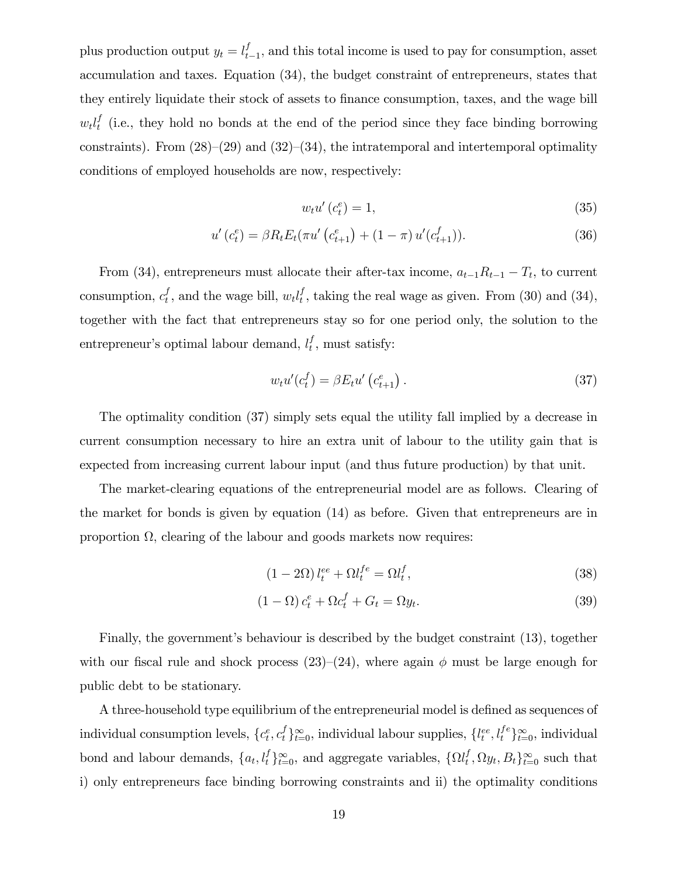plus production output  $y_t = l_t^f$  $_{t-1}^{J}$ , and this total income is used to pay for consumption, asset accumulation and taxes. Equation (34), the budget constraint of entrepreneurs, states that they entirely liquidate their stock of assets to finance consumption, taxes, and the wage bill  $w_t l_t^f$  $_t^J$  (i.e., they hold no bonds at the end of the period since they face binding borrowing constraints). From  $(28)–(29)$  and  $(32)–(34)$ , the intratemporal and intertemporal optimality conditions of employed households are now, respectively:

$$
w_t u' (c_t^e) = 1,\t\t(35)
$$

$$
u'(c_t^e) = \beta R_t E_t(\pi u'(c_{t+1}^e) + (1 - \pi) u'(c_{t+1}^f)).
$$
\n(36)

From (34), entrepreneurs must allocate their after-tax income,  $a_{t-1}R_{t-1} - T_t$ , to current consumption,  $c_t^f$  $_t^f$ , and the wage bill,  $w_t l_t^f$  $_t^I$ , taking the real wage as given. From (30) and (34), together with the fact that entrepreneurs stay so for one period only, the solution to the entrepreneur's optimal labour demand,  $l_t^f$  $_t^I$ , must satisfy:

$$
w_t u'(c_t^f) = \beta E_t u'(c_{t+1}^e). \tag{37}
$$

The optimality condition (37) simply sets equal the utility fall implied by a decrease in current consumption necessary to hire an extra unit of labour to the utility gain that is expected from increasing current labour input (and thus future production) by that unit.

The market-clearing equations of the entrepreneurial model are as follows. Clearing of the market for bonds is given by equation (14) as before. Given that entrepreneurs are in proportion  $\Omega$ , clearing of the labour and goods markets now requires:

$$
(1 - 2\Omega) l_t^{ee} + \Omega l_t^{fe} = \Omega l_t^f,
$$
\n(38)

$$
(1 - \Omega)c_t^e + \Omega c_t^f + G_t = \Omega y_t.
$$
\n(39)

Finally, the government's behaviour is described by the budget constraint (13), together with our fiscal rule and shock process  $(23)-(24)$ , where again  $\phi$  must be large enough for public debt to be stationary.

A three-household type equilibrium of the entrepreneurial model is defined as sequences of individual consumption levels,  ${c_t^e, c_t^f}_{t=0}^{\infty}$ , individual labour supplies,  ${l_t^{ee}, l_t^{fe}}_{t=0}^{\infty}$ , individual bond and labour demands,  $\{a_t, l_t^f\}_{t=0}^{\infty}$ , and aggregate variables,  $\{\Omega l_t^f\}$  $_t^I, \Omega y_t, B_t \}_{t=0}^{\infty}$  such that i) only entrepreneurs face binding borrowing constraints and ii) the optimality conditions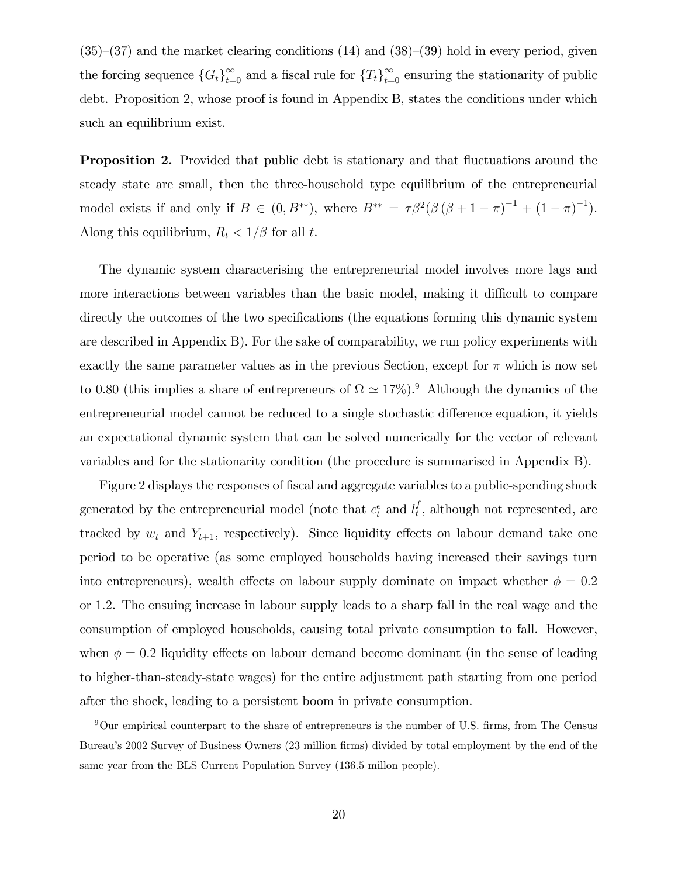$(35)-(37)$  and the market clearing conditions  $(14)$  and  $(38)-(39)$  hold in every period, given the forcing sequence  $\{G_t\}_{t=0}^{\infty}$  and a fiscal rule for  $\{T_t\}_{t=0}^{\infty}$  ensuring the stationarity of public debt. Proposition 2, whose proof is found in Appendix B, states the conditions under which such an equilibrium exist.

**Proposition 2.** Provided that public debt is stationary and that fluctuations around the steady state are small, then the three-household type equilibrium of the entrepreneurial model exists if and only if  $B \in (0, B^{**})$ , where  $B^{**} = \tau \beta^2 (\beta (\beta + 1 - \pi)^{-1} + (1 - \pi)^{-1})$ . Along this equilibrium,  $R_t < 1/\beta$  for all t.

The dynamic system characterising the entrepreneurial model involves more lags and more interactions between variables than the basic model, making it difficult to compare directly the outcomes of the two specifications (the equations forming this dynamic system are described in Appendix B). For the sake of comparability, we run policy experiments with exactly the same parameter values as in the previous Section, except for  $\pi$  which is now set to 0.80 (this implies a share of entrepreneurs of  $\Omega \simeq 17\%$ ).<sup>9</sup> Although the dynamics of the entrepreneurial model cannot be reduced to a single stochastic difference equation, it yields an expectational dynamic system that can be solved numerically for the vector of relevant variables and for the stationarity condition (the procedure is summarised in Appendix B).

Figure 2 displays the responses of fiscal and aggregate variables to a public-spending shock generated by the entrepreneurial model (note that  $c_t^e$  and  $l_t^f$  $_t^t$ , although not represented, are tracked by  $w_t$  and  $Y_{t+1}$ , respectively). Since liquidity effects on labour demand take one period to be operative (as some employed households having increased their savings turn into entrepreneurs), wealth effects on labour supply dominate on impact whether  $\phi = 0.2$ or 1:2. The ensuing increase in labour supply leads to a sharp fall in the real wage and the consumption of employed households, causing total private consumption to fall. However, when  $\phi = 0.2$  liquidity effects on labour demand become dominant (in the sense of leading to higher-than-steady-state wages) for the entire adjustment path starting from one period after the shock, leading to a persistent boom in private consumption.

 $9$ Our empirical counterpart to the share of entrepreneurs is the number of U.S. firms, from The Census Bureau's 2002 Survey of Business Owners (23 million firms) divided by total employment by the end of the same year from the BLS Current Population Survey (136.5 millon people).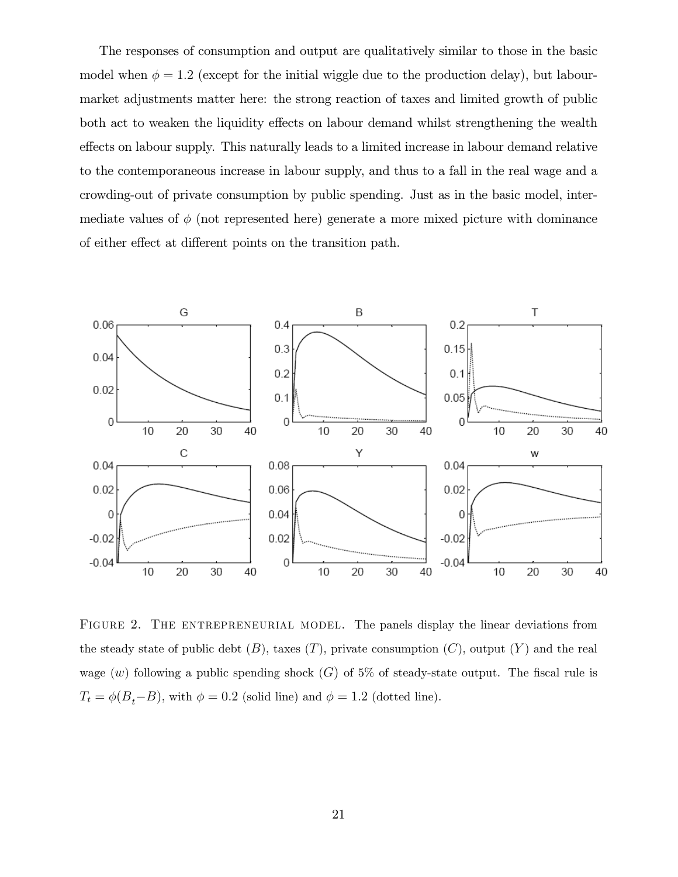The responses of consumption and output are qualitatively similar to those in the basic model when  $\phi = 1.2$  (except for the initial wiggle due to the production delay), but labourmarket adjustments matter here: the strong reaction of taxes and limited growth of public both act to weaken the liquidity effects on labour demand whilst strengthening the wealth effects on labour supply. This naturally leads to a limited increase in labour demand relative to the contemporaneous increase in labour supply, and thus to a fall in the real wage and a crowding-out of private consumption by public spending. Just as in the basic model, intermediate values of  $\phi$  (not represented here) generate a more mixed picture with dominance of either effect at different points on the transition path.



FIGURE 2. THE ENTREPRENEURIAL MODEL. The panels display the linear deviations from the steady state of public debt  $(B)$ , taxes  $(T)$ , private consumption  $(C)$ , output  $(Y)$  and the real wage (w) following a public spending shock  $(G)$  of 5% of steady-state output. The fiscal rule is  $T_t = \phi(B_t - B)$ , with  $\phi = 0.2$  (solid line) and  $\phi = 1.2$  (dotted line).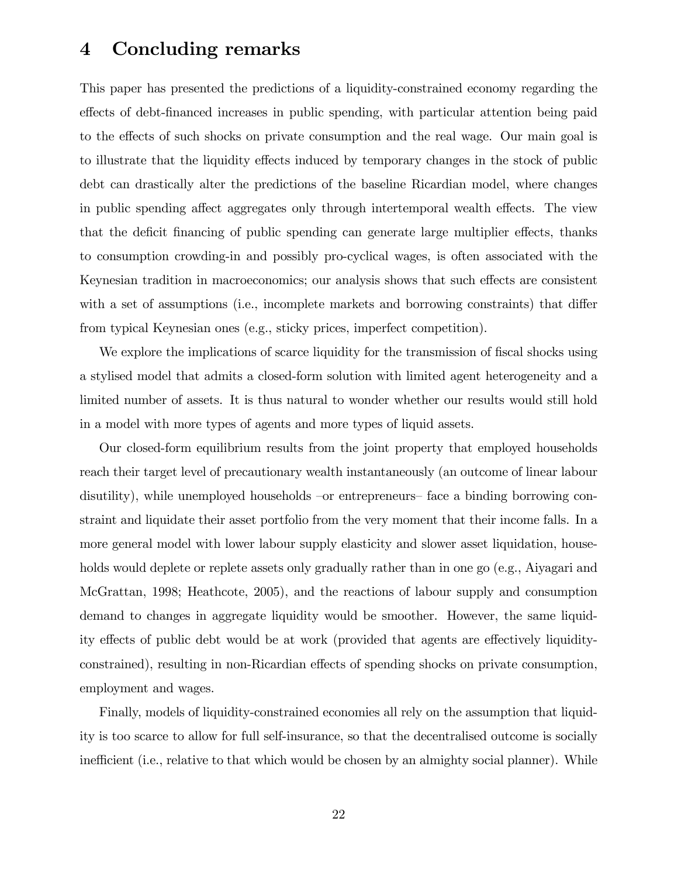#### 4 Concluding remarks

This paper has presented the predictions of a liquidity-constrained economy regarding the effects of debt-financed increases in public spending, with particular attention being paid to the effects of such shocks on private consumption and the real wage. Our main goal is to illustrate that the liquidity effects induced by temporary changes in the stock of public debt can drastically alter the predictions of the baseline Ricardian model, where changes in public spending affect aggregates only through intertemporal wealth effects. The view that the deficit financing of public spending can generate large multiplier effects, thanks to consumption crowding-in and possibly pro-cyclical wages, is often associated with the Keynesian tradition in macroeconomics; our analysis shows that such effects are consistent with a set of assumptions (i.e., incomplete markets and borrowing constraints) that differ from typical Keynesian ones (e.g., sticky prices, imperfect competition).

We explore the implications of scarce liquidity for the transmission of fiscal shocks using a stylised model that admits a closed-form solution with limited agent heterogeneity and a limited number of assets. It is thus natural to wonder whether our results would still hold in a model with more types of agents and more types of liquid assets.

Our closed-form equilibrium results from the joint property that employed households reach their target level of precautionary wealth instantaneously (an outcome of linear labour disutility), while unemployed households  $-$ or entrepreneurs– face a binding borrowing constraint and liquidate their asset portfolio from the very moment that their income falls. In a more general model with lower labour supply elasticity and slower asset liquidation, households would deplete or replete assets only gradually rather than in one go (e.g., Aiyagari and McGrattan, 1998; Heathcote, 2005), and the reactions of labour supply and consumption demand to changes in aggregate liquidity would be smoother. However, the same liquidity effects of public debt would be at work (provided that agents are effectively liquidityconstrained), resulting in non-Ricardian effects of spending shocks on private consumption, employment and wages.

Finally, models of liquidity-constrained economies all rely on the assumption that liquidity is too scarce to allow for full self-insurance, so that the decentralised outcome is socially inefficient (i.e., relative to that which would be chosen by an almighty social planner). While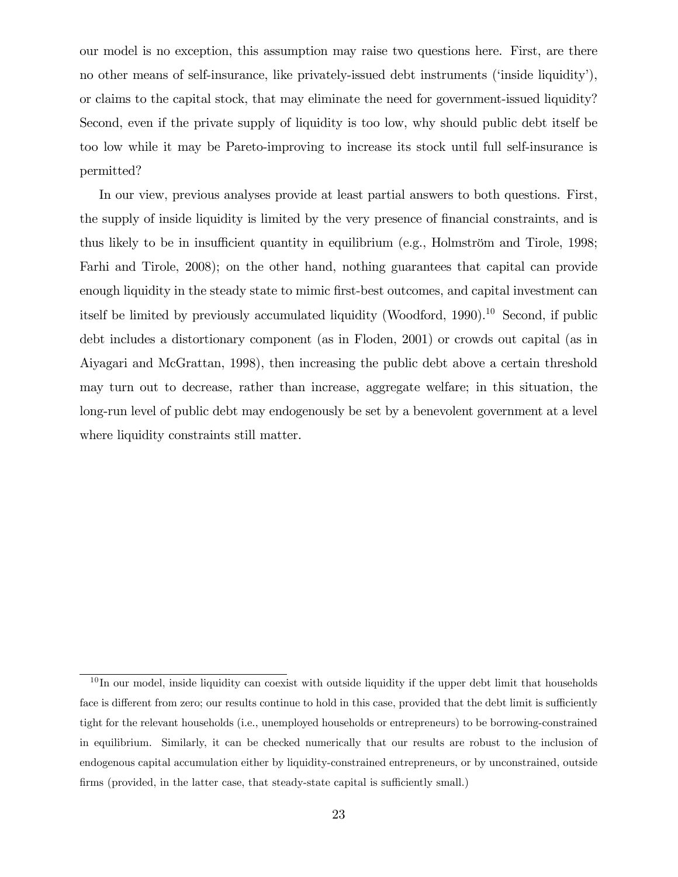our model is no exception, this assumption may raise two questions here. First, are there no other means of self-insurance, like privately-issued debt instruments ('inside liquidity'), or claims to the capital stock, that may eliminate the need for government-issued liquidity? Second, even if the private supply of liquidity is too low, why should public debt itself be too low while it may be Pareto-improving to increase its stock until full self-insurance is permitted?

In our view, previous analyses provide at least partial answers to both questions. First, the supply of inside liquidity is limited by the very presence of financial constraints, and is thus likely to be in insufficient quantity in equilibrium (e.g., Holmström and Tirole,  $1998$ ; Farhi and Tirole, 2008); on the other hand, nothing guarantees that capital can provide enough liquidity in the steady state to mimic first-best outcomes, and capital investment can itself be limited by previously accumulated liquidity (Woodford, 1990).<sup>10</sup> Second, if public debt includes a distortionary component (as in Floden, 2001) or crowds out capital (as in Aiyagari and McGrattan, 1998), then increasing the public debt above a certain threshold may turn out to decrease, rather than increase, aggregate welfare; in this situation, the long-run level of public debt may endogenously be set by a benevolent government at a level where liquidity constraints still matter.

 $10$  In our model, inside liquidity can coexist with outside liquidity if the upper debt limit that households face is different from zero; our results continue to hold in this case, provided that the debt limit is sufficiently tight for the relevant households (i.e., unemployed households or entrepreneurs) to be borrowing-constrained in equilibrium. Similarly, it can be checked numerically that our results are robust to the inclusion of endogenous capital accumulation either by liquidity-constrained entrepreneurs, or by unconstrained, outside firms (provided, in the latter case, that steady-state capital is sufficiently small.)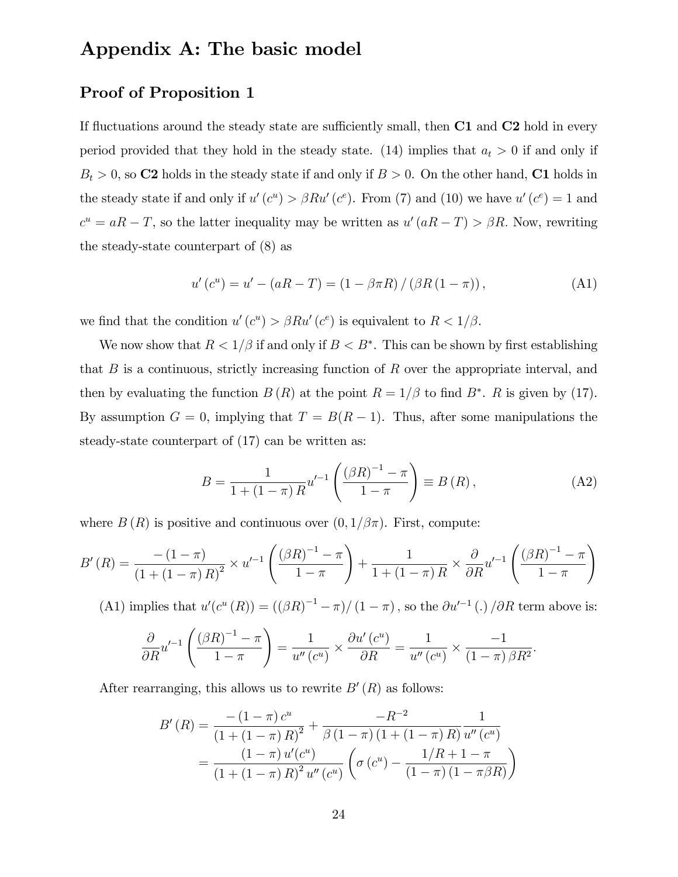## Appendix A: The basic model

#### Proof of Proposition 1

If fluctuations around the steady state are sufficiently small, then  $C1$  and  $C2$  hold in every period provided that they hold in the steady state. (14) implies that  $a_t > 0$  if and only if  $B_t > 0$ , so C2 holds in the steady state if and only if  $B > 0$ . On the other hand, C1 holds in the steady state if and only if  $u'(c^u) > \beta Ru'(c^e)$ . From (7) and (10) we have  $u'(c^e) = 1$  and  $c^u = aR - T$ , so the latter inequality may be written as  $u'(aR - T) > \beta R$ . Now, rewriting the steady-state counterpart of (8) as

$$
u'(c^{u}) = u' - (aR - T) = (1 - \beta \pi R) / (\beta R (1 - \pi)),
$$
\n(A1)

we find that the condition  $u'(c^u) > \beta R u'(c^e)$  is equivalent to  $R < 1/\beta$ .

We now show that  $R < 1/\beta$  if and only if  $B < B^*$ . This can be shown by first establishing that  $B$  is a continuous, strictly increasing function of  $R$  over the appropriate interval, and then by evaluating the function  $B(R)$  at the point  $R = 1/\beta$  to find  $B^*$ . R is given by (17). By assumption  $G = 0$ , implying that  $T = B(R - 1)$ . Thus, after some manipulations the steady-state counterpart of (17) can be written as:

$$
B = \frac{1}{1 + (1 - \pi) R} u'^{-1} \left( \frac{(\beta R)^{-1} - \pi}{1 - \pi} \right) \equiv B(R), \tag{A2}
$$

where  $B(R)$  is positive and continuous over  $(0,1/\beta\pi)$ . First, compute:

$$
B'(R) = \frac{-(1-\pi)}{(1+(1-\pi)R)^2} \times u'^{-1} \left( \frac{(\beta R)^{-1} - \pi}{1-\pi} \right) + \frac{1}{1+(1-\pi)R} \times \frac{\partial}{\partial R} u'^{-1} \left( \frac{(\beta R)^{-1} - \pi}{1-\pi} \right)
$$

(A1) implies that  $u'(c^u(R)) = ((\beta R)^{-1} - \pi)/(1 - \pi)$ , so the  $\partial u'^{-1}$  (.)  $/\partial R$  term above is:

$$
\frac{\partial}{\partial R} u'^{-1} \left( \frac{(\beta R)^{-1} - \pi}{1 - \pi} \right) = \frac{1}{u''(c^u)} \times \frac{\partial u'(c^u)}{\partial R} = \frac{1}{u''(c^u)} \times \frac{-1}{(1 - \pi) \beta R^2}.
$$

After rearranging, this allows us to rewrite  $B'(R)$  as follows:

$$
B'(R) = \frac{-(1-\pi) c^u}{(1+(1-\pi) R)^2} + \frac{-R^{-2}}{\beta (1-\pi) (1+(1-\pi) R)} \frac{1}{u''(c^u)}
$$
  
= 
$$
\frac{(1-\pi) u'(c^u)}{(1+(1-\pi) R)^2 u''(c^u)} \left( \sigma (c^u) - \frac{1/R + 1 - \pi}{(1-\pi) (1-\pi \beta R)} \right)
$$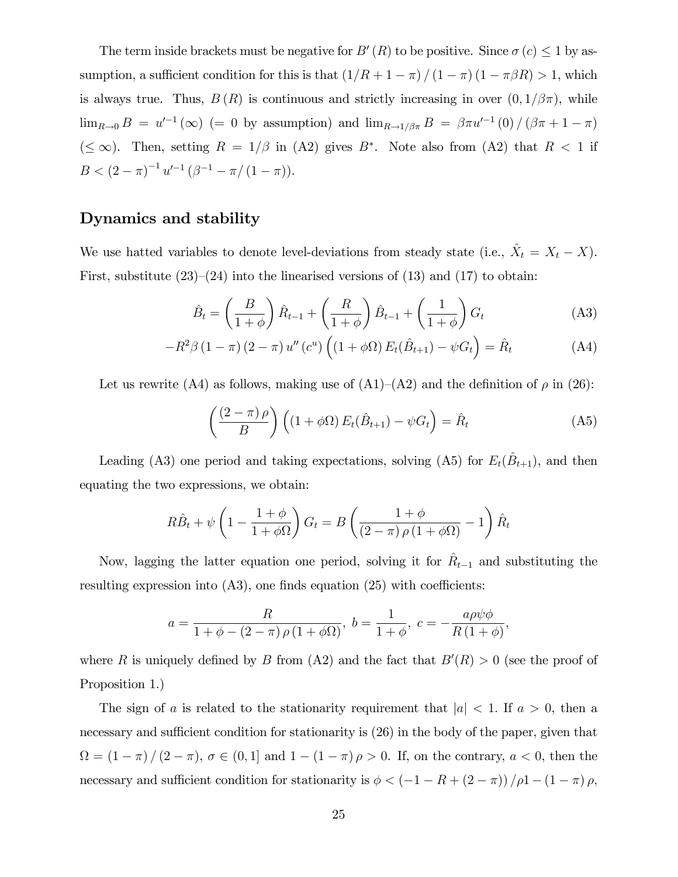The term inside brackets must be negative for  $B'(R)$  to be positive. Since  $\sigma(c) \leq 1$  by assumption, a sufficient condition for this is that  $\left(1/R + 1 - \pi\right) / \left(1 - \pi\right) (1 - \pi\beta R) > 1$ , which is always true. Thus,  $B(R)$  is continuous and strictly increasing in over  $(0,1/\beta\pi)$ , while  $\lim_{R\to 0} B = u'^{-1}(\infty)$  (= 0 by assumption) and  $\lim_{R\to 1/\beta\pi} B = \beta\pi u'^{-1}(0) / (\beta\pi + 1 - \pi)$  $(\leq \infty)$ . Then, setting  $R = 1/\beta$  in (A2) gives  $B^*$ . Note also from (A2) that  $R < 1$  if  $B < (2 - \pi)^{-1} u'^{-1} (\beta^{-1} - \pi / (1 - \pi)).$ 

#### Dynamics and stability

We use hatted variables to denote level-deviations from steady state (i.e.,  $\hat{X}_t = X_t - X$ ). First, substitute  $(23)–(24)$  into the linearised versions of  $(13)$  and  $(17)$  to obtain:

$$
\hat{B}_t = \left(\frac{B}{1+\phi}\right)\hat{R}_{t-1} + \left(\frac{R}{1+\phi}\right)\hat{B}_{t-1} + \left(\frac{1}{1+\phi}\right)G_t
$$
\n(A3)

$$
-R^2\beta(1-\pi)(2-\pi)u''(c^u)\left((1+\phi\Omega)E_t(\hat{B}_{t+1})-\psi G_t\right)=\hat{R}_t
$$
\n(A4)

Let us rewrite (A4) as follows, making use of (A1)–(A2) and the definition of  $\rho$  in (26):

$$
\left(\frac{(2-\pi)\rho}{B}\right)\left((1+\phi\Omega)E_t(\hat{B}_{t+1})-\psi G_t\right)=\hat{R}_t
$$
\n(A5)

Leading (A3) one period and taking expectations, solving (A5) for  $E_t(\hat{B}_{t+1})$ , and then equating the two expressions, we obtain:

$$
R\hat{B}_t + \psi \left(1 - \frac{1+\phi}{1+\phi\Omega}\right) G_t = B \left(\frac{1+\phi}{(2-\pi)\rho(1+\phi\Omega)} - 1\right) \hat{R}_t
$$

Now, lagging the latter equation one period, solving it for  $\hat{R}_{t-1}$  and substituting the resulting expression into  $(A3)$ , one finds equation  $(25)$  with coefficients:

$$
a = \frac{R}{1 + \phi - (2 - \pi) \rho (1 + \phi \Omega)}, \ b = \frac{1}{1 + \phi}, \ c = -\frac{a \rho \psi \phi}{R(1 + \phi)},
$$

where R is uniquely defined by B from (A2) and the fact that  $B'(R) > 0$  (see the proof of Proposition 1.)

The sign of a is related to the stationarity requirement that  $|a| < 1$ . If  $a > 0$ , then a necessary and sufficient condition for stationarity is  $(26)$  in the body of the paper, given that  $\Omega = (1 - \pi) / (2 - \pi), \sigma \in (0, 1]$  and  $1 - (1 - \pi) \rho > 0$ . If, on the contrary,  $a < 0$ , then the necessary and sufficient condition for stationarity is  $\phi < (-1 - R + (2 - \pi)) / \rho_1 - (1 - \pi) \rho$ ,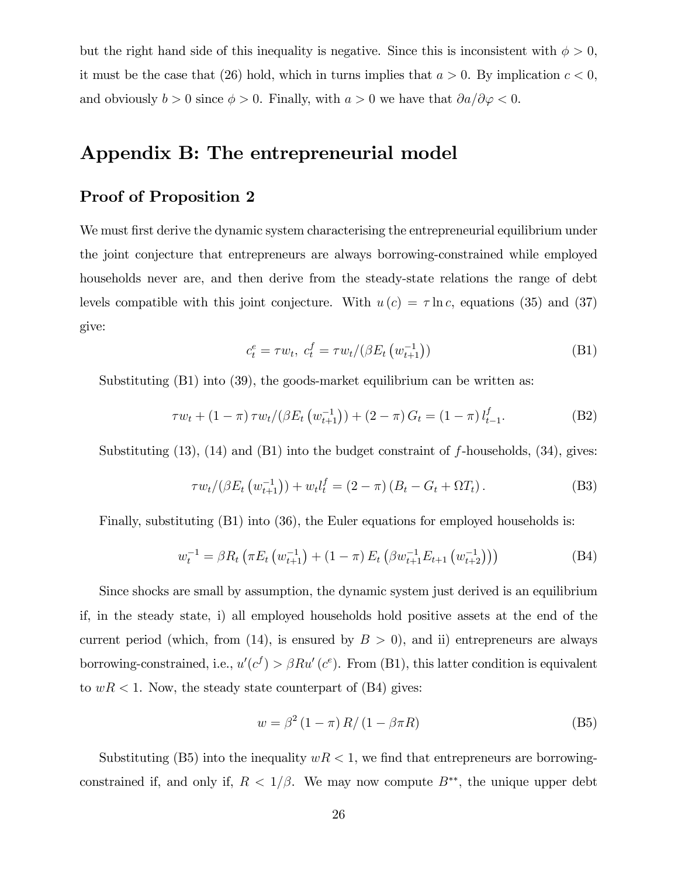but the right hand side of this inequality is negative. Since this is inconsistent with  $\phi > 0$ , it must be the case that (26) hold, which in turns implies that  $a > 0$ . By implication  $c < 0$ , and obviously  $b > 0$  since  $\phi > 0$ . Finally, with  $a > 0$  we have that  $\partial a/\partial \varphi < 0$ .

## Appendix B: The entrepreneurial model

#### Proof of Proposition 2

We must first derive the dynamic system characterising the entrepreneurial equilibrium under the joint conjecture that entrepreneurs are always borrowing-constrained while employed households never are, and then derive from the steady-state relations the range of debt levels compatible with this joint conjecture. With  $u(c) = \tau \ln c$ , equations (35) and (37) give:

$$
c_t^e = \tau w_t, \ c_t^f = \tau w_t / (\beta E_t \left( w_{t+1}^{-1} \right)) \tag{B1}
$$

Substituting (B1) into (39), the goods-market equilibrium can be written as:

$$
\tau w_t + (1 - \pi) \tau w_t / (\beta E_t \left( w_{t+1}^{-1} \right)) + (2 - \pi) G_t = (1 - \pi) l_{t-1}^f.
$$
 (B2)

Substituting  $(13)$ ,  $(14)$  and  $(B1)$  into the budget constraint of f-households,  $(34)$ , gives:

$$
\tau w_t / (\beta E_t \left( w_{t+1}^{-1} \right)) + w_t l_t^f = (2 - \pi) \left( B_t - G_t + \Omega T_t \right). \tag{B3}
$$

Finally, substituting  $(B1)$  into  $(36)$ , the Euler equations for employed households is:

$$
w_t^{-1} = \beta R_t \left( \pi E_t \left( w_{t+1}^{-1} \right) + (1 - \pi) E_t \left( \beta w_{t+1}^{-1} E_{t+1} \left( w_{t+2}^{-1} \right) \right) \right)
$$
(B4)

Since shocks are small by assumption, the dynamic system just derived is an equilibrium if, in the steady state, i) all employed households hold positive assets at the end of the current period (which, from (14), is ensured by  $B > 0$ ), and ii) entrepreneurs are always borrowing-constrained, i.e.,  $u'(c^f) > \beta Ru'(c^e)$ . From (B1), this latter condition is equivalent to  $wR < 1$ . Now, the steady state counterpart of (B4) gives:

$$
w = \beta^2 (1 - \pi) R / (1 - \beta \pi R) \tag{B5}
$$

Substituting (B5) into the inequality  $wR < 1$ , we find that entrepreneurs are borrowingconstrained if, and only if,  $R < 1/\beta$ . We may now compute  $B^{**}$ , the unique upper debt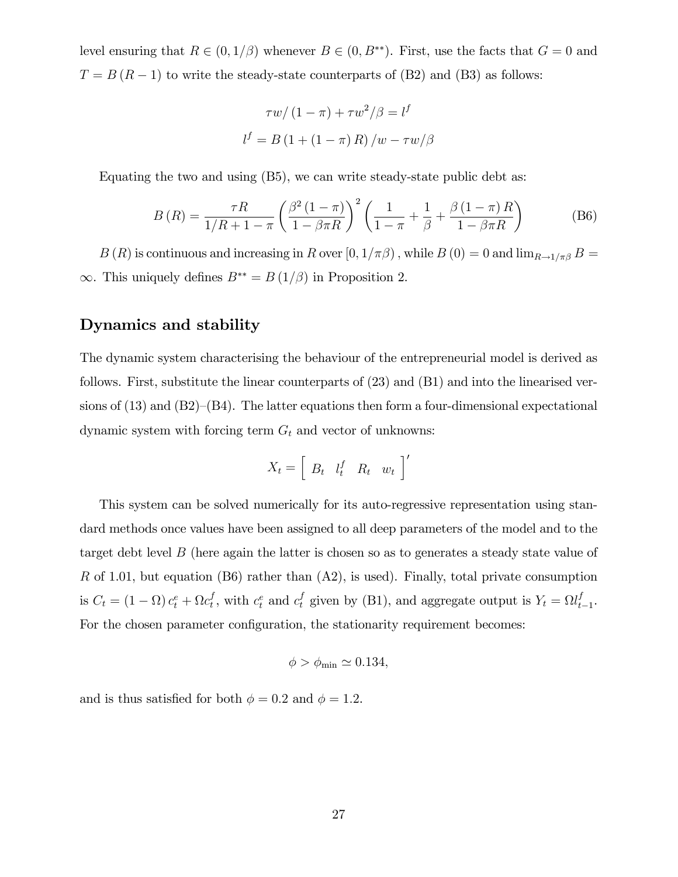level ensuring that  $R \in (0, 1/\beta)$  whenever  $B \in (0, B^{**})$ . First, use the facts that  $G = 0$  and  $T = B (R - 1)$  to write the steady-state counterparts of (B2) and (B3) as follows:

$$
\tau w/(1-\pi) + \tau w^2/\beta = l^f
$$

$$
l^f = B(1 + (1-\pi) R)/w - \tau w/\beta
$$

Equating the two and using (B5), we can write steady-state public debt as:

$$
B(R) = \frac{\tau R}{1/R + 1 - \pi} \left( \frac{\beta^2 (1 - \pi)}{1 - \beta \pi R} \right)^2 \left( \frac{1}{1 - \pi} + \frac{1}{\beta} + \frac{\beta (1 - \pi) R}{1 - \beta \pi R} \right)
$$
(B6)

 $B(R)$  is continuous and increasing in R over  $[0,1/\pi\beta)$ , while  $B(0) = 0$  and  $\lim_{R\to 1/\pi\beta} B =$  $\infty$ . This uniquely defines  $B^{**} = B(1/\beta)$  in Proposition 2.

#### Dynamics and stability

The dynamic system characterising the behaviour of the entrepreneurial model is derived as follows. First, substitute the linear counterparts of (23) and (B1) and into the linearised versions of  $(13)$  and  $(B2)–(B4)$ . The latter equations then form a four-dimensional expectational dynamic system with forcing term  $G_t$  and vector of unknowns:

$$
X_t = \left[ \begin{array}{cc} B_t & l_t^f & R_t & w_t \end{array} \right]'
$$

This system can be solved numerically for its auto-regressive representation using standard methods once values have been assigned to all deep parameters of the model and to the target debt level B (here again the latter is chosen so as to generates a steady state value of R of 1.01, but equation  $(B6)$  rather than  $(A2)$ , is used). Finally, total private consumption is  $C_t = (1 - \Omega) c_t^e + \Omega c_t^f$  $t_t^f$ , with  $c_t^e$  and  $c_t^f$  given by (B1), and aggregate output is  $Y_t = \Omega l_t^f$  $_{t-1}^{J}$ . For the chosen parameter configuration, the stationarity requirement becomes:

$$
\phi > \phi_{\min} \simeq 0.134,
$$

and is thus satisfied for both  $\phi = 0.2$  and  $\phi = 1.2$ .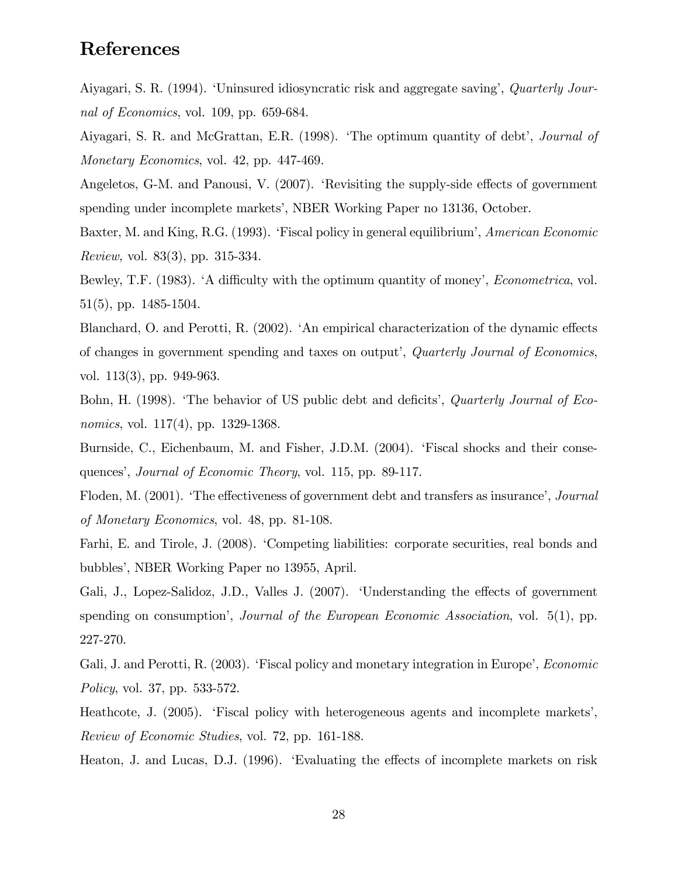## References

Aiyagari, S. R. (1994). 'Uninsured idiosyncratic risk and aggregate saving', Quarterly Journal of Economics, vol. 109, pp. 659-684.

Aiyagari, S. R. and McGrattan, E.R. (1998). 'The optimum quantity of debt', *Journal of* Monetary Economics, vol. 42, pp. 447-469.

Angeletos, G-M. and Panousi, V.  $(2007)$ . 'Revisiting the supply-side effects of government spending under incomplete markets', NBER Working Paper no 13136, October.

Baxter, M. and King, R.G. (1993). 'Fiscal policy in general equilibrium', American Economic Review, vol. 83(3), pp. 315-334.

Bewley, T.F. (1983). 'A difficulty with the optimum quantity of money', *Econometrica*, vol. 51(5), pp. 1485-1504.

Blanchard, O. and Perotti, R. (2002). 'An empirical characterization of the dynamic effects of changes in government spending and taxes on output<sup>†</sup>, *Quarterly Journal of Economics*, vol. 113(3), pp. 949-963.

Bohn, H. (1998). 'The behavior of US public debt and deficits', *Quarterly Journal of Eco*nomics, vol. 117(4), pp. 1329-1368.

Burnside, C., Eichenbaum, M. and Fisher, J.D.M. (2004). 'Fiscal shocks and their consequences', *Journal of Economic Theory*, vol. 115, pp. 89-117.

Floden, M. (2001). The effectiveness of government debt and transfers as insurance<sup>7</sup>, Journal of Monetary Economics, vol. 48, pp. 81-108.

Farhi, E. and Tirole, J. (2008). ëCompeting liabilities: corporate securities, real bonds and bubblesí, NBER Working Paper no 13955, April.

Gali, J., Lopez-Salidoz, J.D., Valles J. (2007). 'Understanding the effects of government spending on consumption', *Journal of the European Economic Association*, vol. 5(1), pp. 227-270.

Gali, J. and Perotti, R. (2003). 'Fiscal policy and monetary integration in Europe', *Economic* Policy, vol. 37, pp. 533-572.

Heathcote, J. (2005). 'Fiscal policy with heterogeneous agents and incomplete markets', Review of Economic Studies, vol. 72, pp. 161-188.

Heaton, J. and Lucas, D.J. (1996). Evaluating the effects of incomplete markets on risk